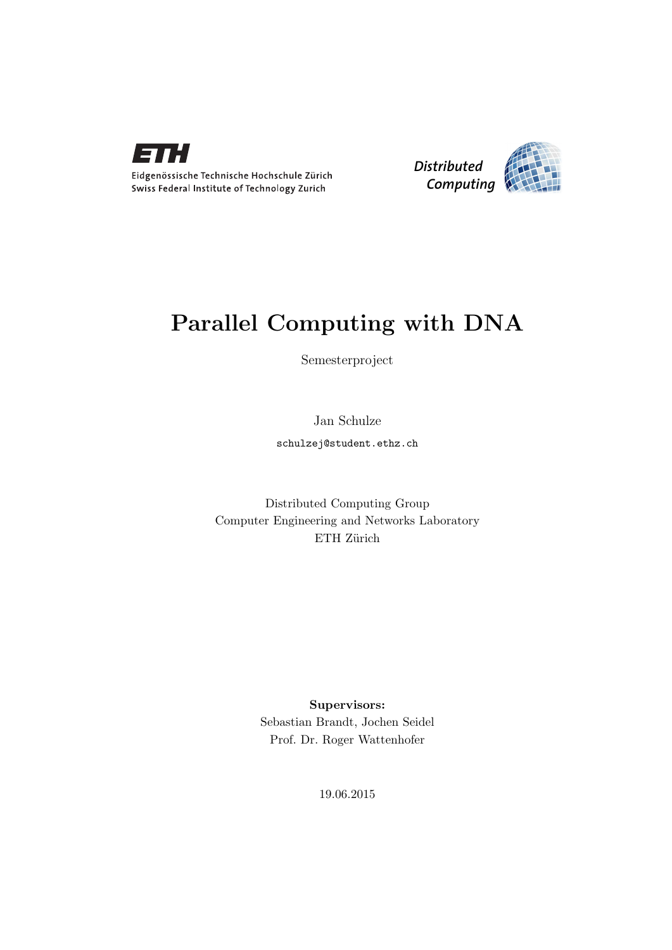



## Parallel Computing with DNA

Semesterproject

Jan Schulze

schulzej@student.ethz.ch

Distributed Computing Group Computer Engineering and Networks Laboratory ETH Zürich

> Supervisors: Sebastian Brandt, Jochen Seidel Prof. Dr. Roger Wattenhofer

> > 19.06.2015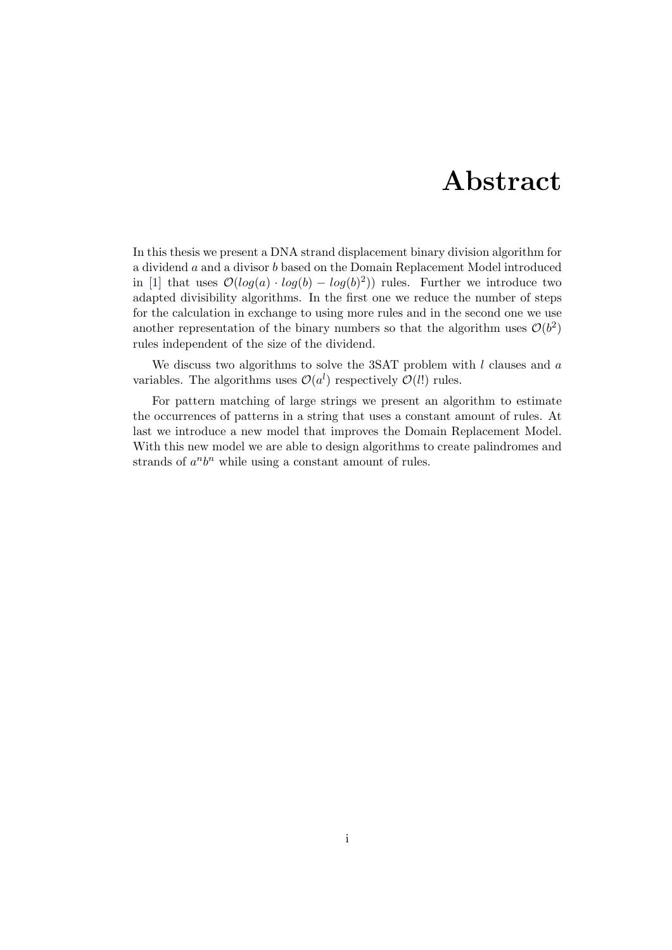## Abstract

<span id="page-1-0"></span>In this thesis we present a DNA strand displacement binary division algorithm for a dividend a and a divisor b based on the Domain Replacement Model introduced in [\[1\]](#page-30-0) that uses  $\mathcal{O}(log(a) \cdot log(b) - log(b)^2)$  rules. Further we introduce two adapted divisibility algorithms. In the first one we reduce the number of steps for the calculation in exchange to using more rules and in the second one we use another representation of the binary numbers so that the algorithm uses  $\mathcal{O}(b^2)$ rules independent of the size of the dividend.

We discuss two algorithms to solve the 3SAT problem with  $l$  clauses and  $a$ variables. The algorithms uses  $\mathcal{O}(a^l)$  respectively  $\mathcal{O}(l!)$  rules.

For pattern matching of large strings we present an algorithm to estimate the occurrences of patterns in a string that uses a constant amount of rules. At last we introduce a new model that improves the Domain Replacement Model. With this new model we are able to design algorithms to create palindromes and strands of  $a^n b^n$  while using a constant amount of rules.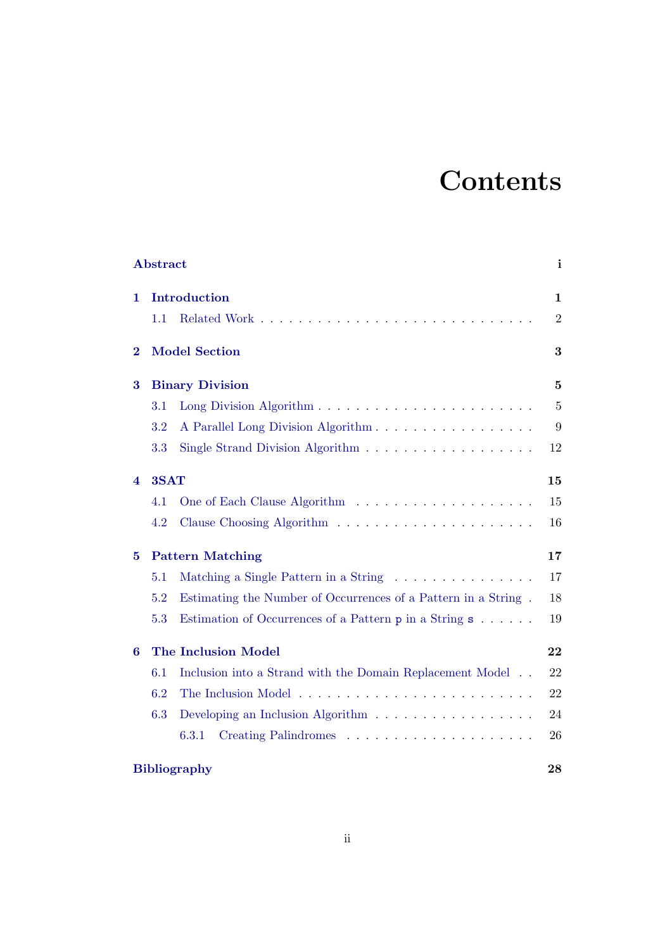# **Contents**

|                     | <b>Abstract</b>            |                                                                               | i                |  |  |  |  |  |  |
|---------------------|----------------------------|-------------------------------------------------------------------------------|------------------|--|--|--|--|--|--|
| 1                   | Introduction               |                                                                               |                  |  |  |  |  |  |  |
|                     | 1.1                        |                                                                               | $\boldsymbol{2}$ |  |  |  |  |  |  |
| $\bf{2}$            |                            | <b>Model Section</b>                                                          |                  |  |  |  |  |  |  |
| $\bf{3}$            | <b>Binary Division</b>     |                                                                               |                  |  |  |  |  |  |  |
|                     | 3.1                        |                                                                               | $\bf 5$          |  |  |  |  |  |  |
|                     | 3.2                        | A Parallel Long Division Algorithm                                            | 9                |  |  |  |  |  |  |
|                     | 3.3                        | Single Strand Division Algorithm $\dots \dots \dots \dots \dots \dots$        | 12               |  |  |  |  |  |  |
| 4                   | 3SAT                       |                                                                               |                  |  |  |  |  |  |  |
|                     | 4.1                        |                                                                               | 15               |  |  |  |  |  |  |
|                     | 4.2                        |                                                                               | 16               |  |  |  |  |  |  |
| 5                   | <b>Pattern Matching</b>    | 17                                                                            |                  |  |  |  |  |  |  |
|                     | 5.1                        | Matching a Single Pattern in a String                                         | 17               |  |  |  |  |  |  |
|                     | 5.2                        | Estimating the Number of Occurrences of a Pattern in a String.                | 18               |  |  |  |  |  |  |
|                     | 5.3                        | Estimation of Occurrences of a Pattern $p$ in a String $s \dots \dots$        | 19               |  |  |  |  |  |  |
| 6                   | <b>The Inclusion Model</b> | 22                                                                            |                  |  |  |  |  |  |  |
|                     | 6.1                        | Inclusion into a Strand with the Domain Replacement Model                     | 22               |  |  |  |  |  |  |
|                     | 6.2                        |                                                                               | 22               |  |  |  |  |  |  |
|                     | 6.3                        | Developing an Inclusion Algorithm $\ldots \ldots \ldots \ldots \ldots \ldots$ | 24               |  |  |  |  |  |  |
|                     |                            | 6.3.1                                                                         | 26               |  |  |  |  |  |  |
| <b>Bibliography</b> |                            |                                                                               |                  |  |  |  |  |  |  |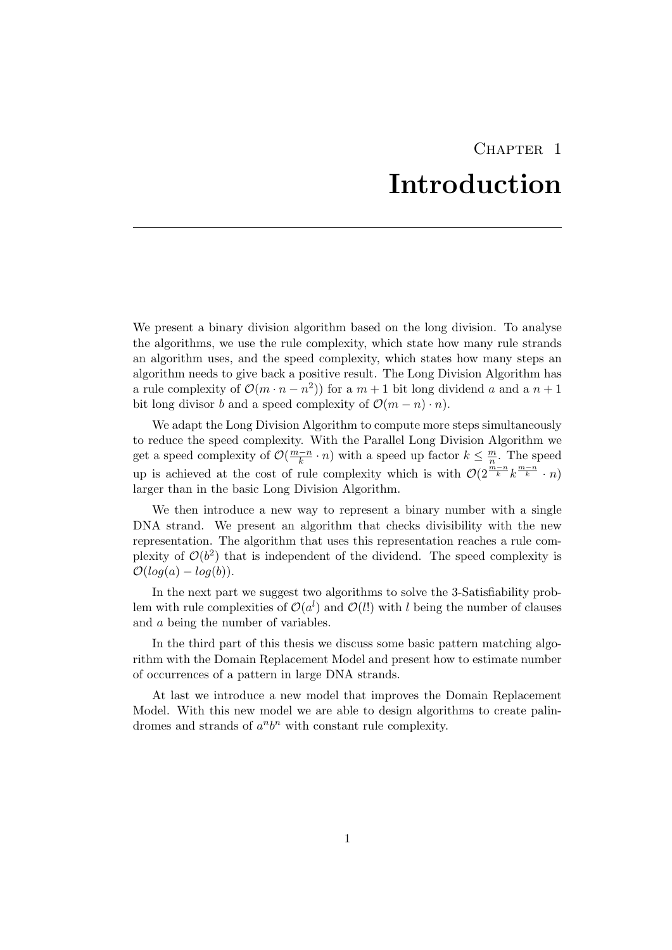## CHAPTER<sub>1</sub> Introduction

<span id="page-3-0"></span>We present a binary division algorithm based on the long division. To analyse the algorithms, we use the rule complexity, which state how many rule strands an algorithm uses, and the speed complexity, which states how many steps an algorithm needs to give back a positive result. The Long Division Algorithm has a rule complexity of  $\mathcal{O}(m \cdot n - n^2)$  for a  $m + 1$  bit long dividend a and a  $n + 1$ bit long divisor b and a speed complexity of  $\mathcal{O}(m - n) \cdot n$ .

We adapt the Long Division Algorithm to compute more steps simultaneously to reduce the speed complexity. With the Parallel Long Division Algorithm we get a speed complexity of  $\mathcal{O}(\frac{m-n}{k})$  $\frac{n}{k} \cdot n$  with a speed up factor  $k \leq \frac{m}{n}$  $\frac{m}{n}$ . The speed up is achieved at the cost of rule complexity which is with  $\mathcal{O}(2^{\frac{m-n}{k}}k^{\frac{m-n}{k}} \cdot n)$ larger than in the basic Long Division Algorithm.

We then introduce a new way to represent a binary number with a single DNA strand. We present an algorithm that checks divisibility with the new representation. The algorithm that uses this representation reaches a rule complexity of  $\mathcal{O}(b^2)$  that is independent of the dividend. The speed complexity is  $\mathcal{O}(log(a) - log(b)).$ 

In the next part we suggest two algorithms to solve the 3-Satisfiability problem with rule complexities of  $\mathcal{O}(a^l)$  and  $\mathcal{O}(l!)$  with l being the number of clauses and a being the number of variables.

In the third part of this thesis we discuss some basic pattern matching algorithm with the Domain Replacement Model and present how to estimate number of occurrences of a pattern in large DNA strands.

At last we introduce a new model that improves the Domain Replacement Model. With this new model we are able to design algorithms to create palindromes and strands of  $a^n b^n$  with constant rule complexity.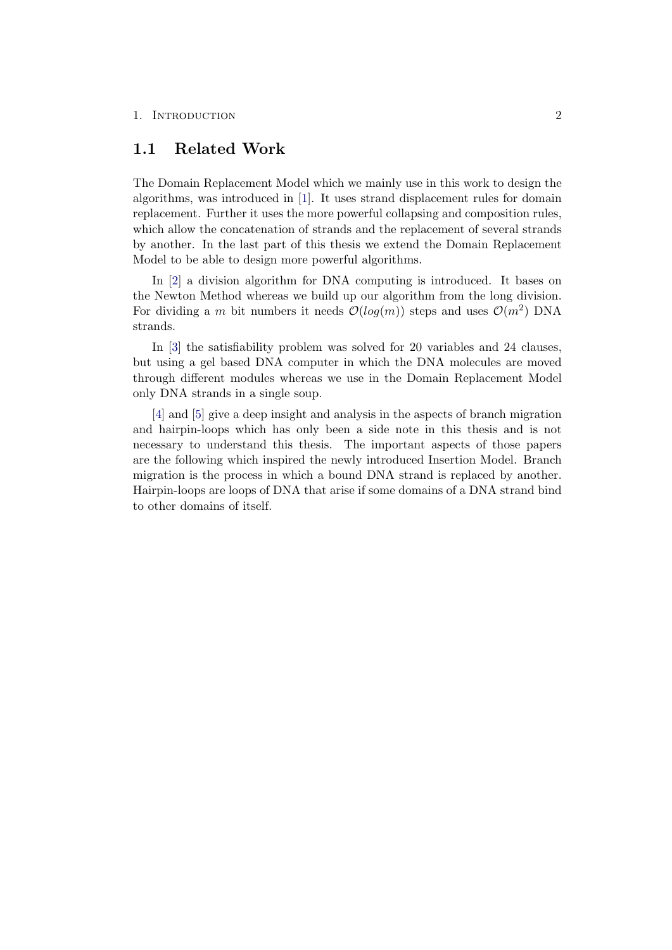#### 1. INTRODUCTION 2

### <span id="page-4-0"></span>1.1 Related Work

The Domain Replacement Model which we mainly use in this work to design the algorithms, was introduced in [\[1\]](#page-30-0). It uses strand displacement rules for domain replacement. Further it uses the more powerful collapsing and composition rules, which allow the concatenation of strands and the replacement of several strands by another. In the last part of this thesis we extend the Domain Replacement Model to be able to design more powerful algorithms.

In [\[2\]](#page-30-2) a division algorithm for DNA computing is introduced. It bases on the Newton Method whereas we build up our algorithm from the long division. For dividing a m bit numbers it needs  $\mathcal{O}(log(m))$  steps and uses  $\mathcal{O}(m^2)$  DNA strands.

In [\[3\]](#page-30-3) the satisfiability problem was solved for 20 variables and 24 clauses, but using a gel based DNA computer in which the DNA molecules are moved through different modules whereas we use in the Domain Replacement Model only DNA strands in a single soup.

[\[4\]](#page-30-4) and [\[5\]](#page-30-5) give a deep insight and analysis in the aspects of branch migration and hairpin-loops which has only been a side note in this thesis and is not necessary to understand this thesis. The important aspects of those papers are the following which inspired the newly introduced Insertion Model. Branch migration is the process in which a bound DNA strand is replaced by another. Hairpin-loops are loops of DNA that arise if some domains of a DNA strand bind to other domains of itself.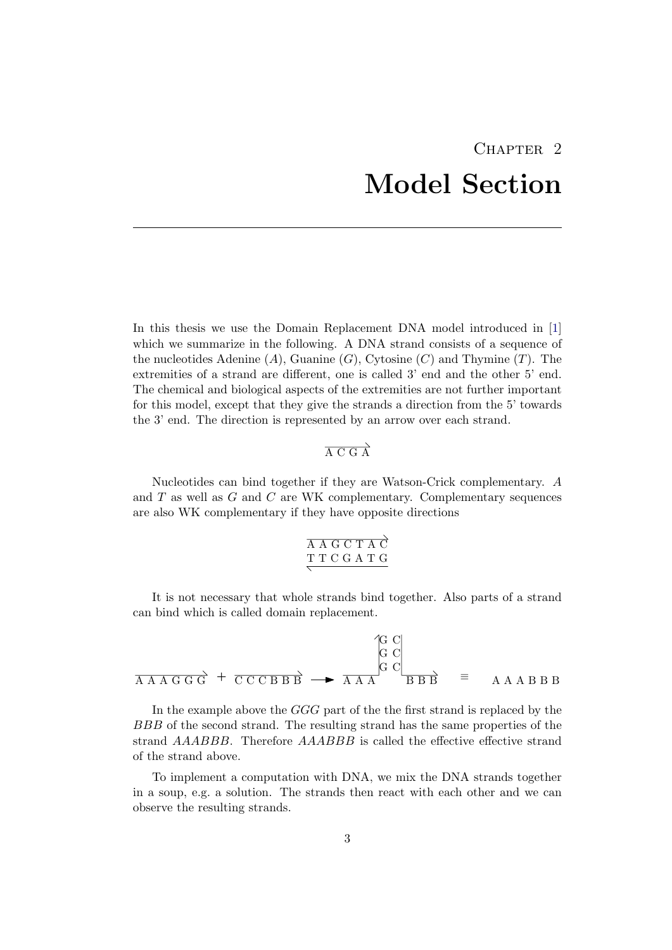## CHAPTER<sub>2</sub> Model Section

<span id="page-5-0"></span>In this thesis we use the Domain Replacement DNA model introduced in [\[1\]](#page-30-0) which we summarize in the following. A DNA strand consists of a sequence of the nucleotides Adenine  $(A)$ , Guanine  $(G)$ , Cytosine  $(C)$  and Thymine  $(T)$ . The extremities of a strand are different, one is called 3' end and the other 5' end. The chemical and biological aspects of the extremities are not further important for this model, except that they give the strands a direction from the 5' towards the 3' end. The direction is represented by an arrow over each strand.

## $\overrightarrow{A C G A}$

Nucleotides can bind together if they are Watson-Crick complementary. A and T as well as G and C are WK complementary. Complementary sequences are also WK complementary if they have opposite directions

| AAGCTAC |  |  |  |
|---------|--|--|--|
| TTCGATG |  |  |  |
|         |  |  |  |

It is not necessary that whole strands bind together. Also parts of a strand can bind which is called domain replacement.

$$
\overrightarrow{A A A G G G} + \overrightarrow{C C C B B B} \rightarrow \overrightarrow{A A A} \begin{matrix} G & C \\ G & C \\ G & D & D \end{matrix} \equiv A A A B B B
$$

In the example above the GGG part of the the first strand is replaced by the BBB of the second strand. The resulting strand has the same properties of the strand AAABBB. Therefore AAABBB is called the effective effective strand of the strand above.

To implement a computation with DNA, we mix the DNA strands together in a soup, e.g. a solution. The strands then react with each other and we can observe the resulting strands.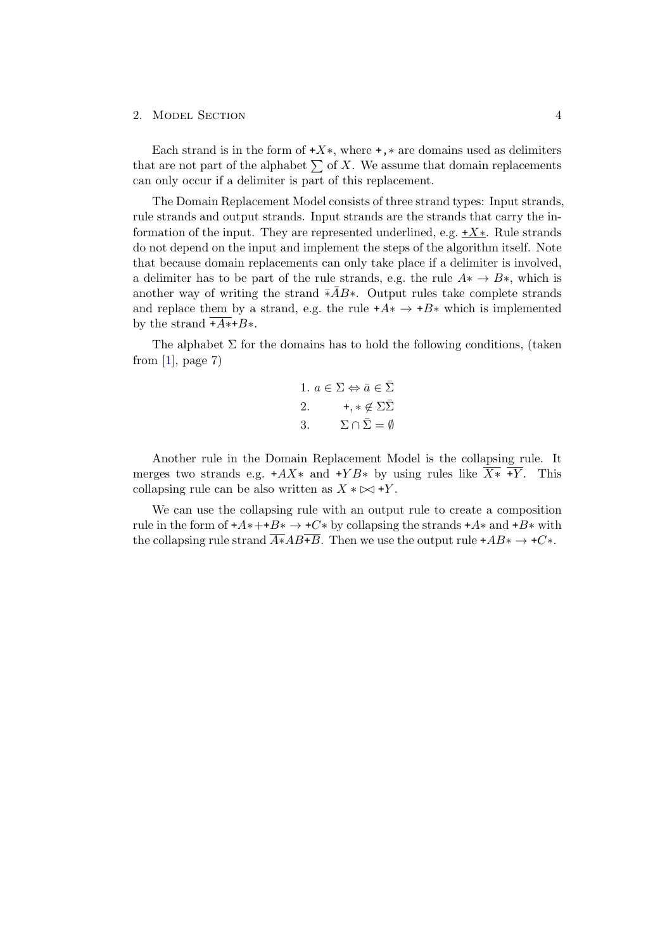#### 2. MODEL SECTION 4

Each strand is in the form of  $+X^*$ , where  $+$ ,  $*$  are domains used as delimiters that are not part of the alphabet  $\sum$  of X. We assume that domain replacements can only occur if a delimiter is part of this replacement.

The Domain Replacement Model consists of three strand types: Input strands, rule strands and output strands. Input strands are the strands that carry the information of the input. They are represented underlined, e.g.  $+X^*$ . Rule strands do not depend on the input and implement the steps of the algorithm itself. Note that because domain replacements can only take place if a delimiter is involved, a delimiter has to be part of the rule strands, e.g. the rule  $A^* \to B^*$ , which is another way of writing the strand  $\overline{*A}B*$ . Output rules take complete strands and replace them by a strand, e.g. the rule  $+A^* \rightarrow +B^*$  which is implemented by the strand  $\overline{+A*+B*}$ .

The alphabet  $\Sigma$  for the domains has to hold the following conditions, (taken from  $[1]$ , page 7)

1. 
$$
a \in \Sigma \Leftrightarrow \bar{a} \in \bar{\Sigma}
$$
  
\n2.  $+, * \notin \Sigma \bar{\Sigma}$   
\n3.  $\Sigma \cap \bar{\Sigma} = \emptyset$ 

Another rule in the Domain Replacement Model is the collapsing rule. It merges two strands e.g.  $+AX^*$  and  $+YB^*$  by using rules like  $X^*$  +Y. This collapsing rule can be also written as  $X * \bowtie +Y$ .

We can use the collapsing rule with an output rule to create a composition rule in the form of  $+A*++B* \rightarrow +C*$  by collapsing the strands  $+A*$  and  $+B*$  with the collapsing rule strand  $\overline{A*}AB+\overline{B}$ . Then we use the output rule +AB<sup>\*</sup>  $\rightarrow$  +C<sup>\*</sup>.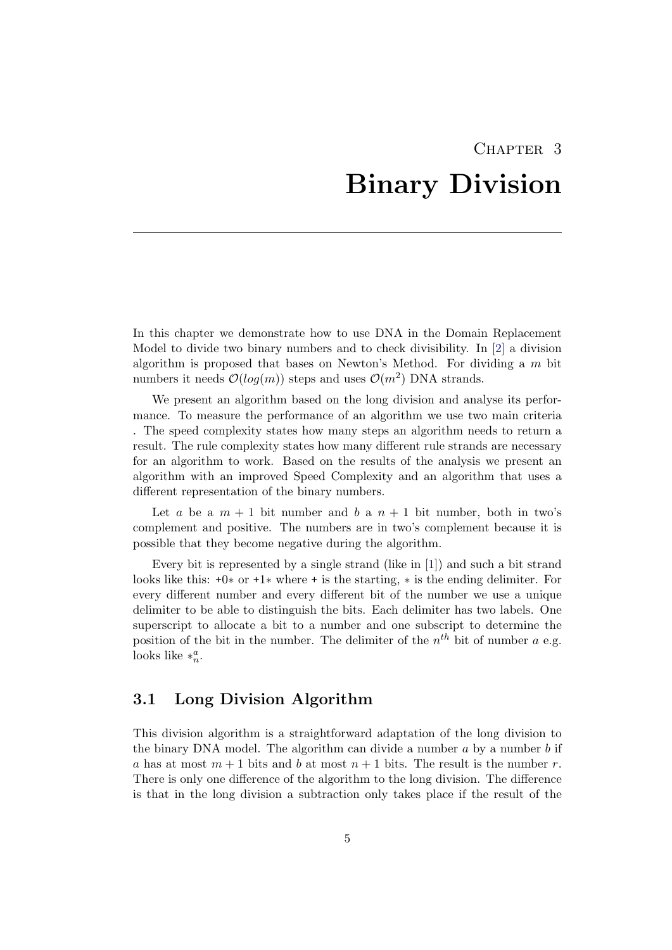## CHAPTER<sub>3</sub> Binary Division

<span id="page-7-0"></span>In this chapter we demonstrate how to use DNA in the Domain Replacement Model to divide two binary numbers and to check divisibility. In [\[2\]](#page-30-2) a division algorithm is proposed that bases on Newton's Method. For dividing a  $m$  bit numbers it needs  $\mathcal{O}(log(m))$  steps and uses  $\mathcal{O}(m^2)$  DNA strands.

We present an algorithm based on the long division and analyse its performance. To measure the performance of an algorithm we use two main criteria . The speed complexity states how many steps an algorithm needs to return a result. The rule complexity states how many different rule strands are necessary for an algorithm to work. Based on the results of the analysis we present an algorithm with an improved Speed Complexity and an algorithm that uses a different representation of the binary numbers.

Let a be a  $m + 1$  bit number and b a  $n + 1$  bit number, both in two's complement and positive. The numbers are in two's complement because it is possible that they become negative during the algorithm.

Every bit is represented by a single strand (like in [\[1\]](#page-30-0)) and such a bit strand looks like this: +0∗ or +1∗ where + is the starting, ∗ is the ending delimiter. For every different number and every different bit of the number we use a unique delimiter to be able to distinguish the bits. Each delimiter has two labels. One superscript to allocate a bit to a number and one subscript to determine the position of the bit in the number. The delimiter of the  $n^{th}$  bit of number a e.g. looks like  $*_n^a$ .

## <span id="page-7-1"></span>3.1 Long Division Algorithm

This division algorithm is a straightforward adaptation of the long division to the binary DNA model. The algorithm can divide a number  $a$  by a number  $b$  if a has at most  $m + 1$  bits and b at most  $n + 1$  bits. The result is the number r. There is only one difference of the algorithm to the long division. The difference is that in the long division a subtraction only takes place if the result of the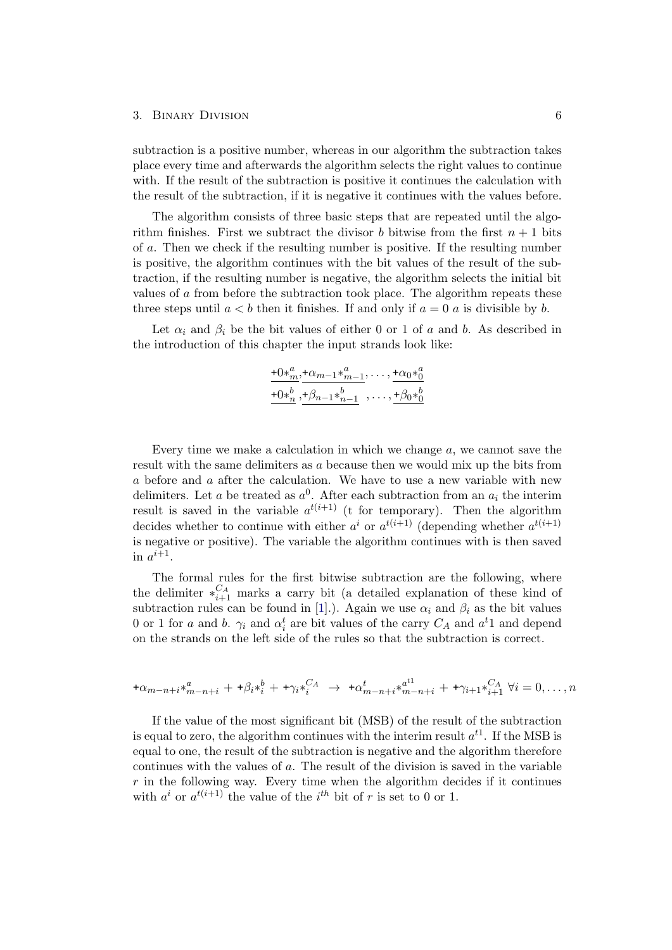#### 3. Binary Division 6

subtraction is a positive number, whereas in our algorithm the subtraction takes place every time and afterwards the algorithm selects the right values to continue with. If the result of the subtraction is positive it continues the calculation with the result of the subtraction, if it is negative it continues with the values before.

The algorithm consists of three basic steps that are repeated until the algorithm finishes. First we subtract the divisor b bitwise from the first  $n + 1$  bits of a. Then we check if the resulting number is positive. If the resulting number is positive, the algorithm continues with the bit values of the result of the subtraction, if the resulting number is negative, the algorithm selects the initial bit values of a from before the subtraction took place. The algorithm repeats these three steps until  $a < b$  then it finishes. If and only if  $a = 0$  a is divisible by b.

Let  $\alpha_i$  and  $\beta_i$  be the bit values of either 0 or 1 of a and b. As described in the introduction of this chapter the input strands look like:

$$
\frac{+0\ast_{m}^{a}}{+0\ast_{n}^{b}}, \frac{+ \alpha_{m-1}\ast_{m-1}^{a}}{+0\ast_{n}^{b}}, \dots, \frac{+ \alpha_{0}\ast_{0}^{a}}{+0\ast_{0}^{b}}
$$

Every time we make a calculation in which we change  $a$ , we cannot save the result with the same delimiters as a because then we would mix up the bits from a before and a after the calculation. We have to use a new variable with new delimiters. Let a be treated as  $a^0$ . After each subtraction from an  $a_i$  the interim result is saved in the variable  $a^{t(i+1)}$  (t for temporary). Then the algorithm decides whether to continue with either  $a^i$  or  $a^{t(i+1)}$  (depending whether  $a^{t(i+1)}$ ) is negative or positive). The variable the algorithm continues with is then saved in  $a^{i+1}$ .

The formal rules for the first bitwise subtraction are the following, where the delimiter  $*_{i+1}^{C_A}$  marks a carry bit (a detailed explanation of these kind of subtraction rules can be found in [\[1\]](#page-30-0).). Again we use  $\alpha_i$  and  $\beta_i$  as the bit values 0 or 1 for a and b.  $\gamma_i$  and  $\alpha_i^t$  are bit values of the carry  $C_A$  and  $a^t$ 1 and depend on the strands on the left side of the rules so that the subtraction is correct.

$$
+\alpha_{m-n+i} \ast_{m-n+i}^{a} + \alpha_{m+i} \ast_{i}^{b} + \alpha_{m+i} \ast_{i}^{c} \rightarrow \alpha_{m-n+i}^{t} \ast_{m-n+i}^{a} + \alpha_{m+i} \ast_{i+1}^{c} \ast_{i+1}^{c} \ast_{i}^{c} = 0, \dots, n
$$

If the value of the most significant bit (MSB) of the result of the subtraction is equal to zero, the algorithm continues with the interim result  $a^{t_1}$ . If the MSB is equal to one, the result of the subtraction is negative and the algorithm therefore continues with the values of a. The result of the division is saved in the variable  $r$  in the following way. Every time when the algorithm decides if it continues with  $a^i$  or  $a^{t(i+1)}$  the value of the  $i^{th}$  bit of r is set to 0 or 1.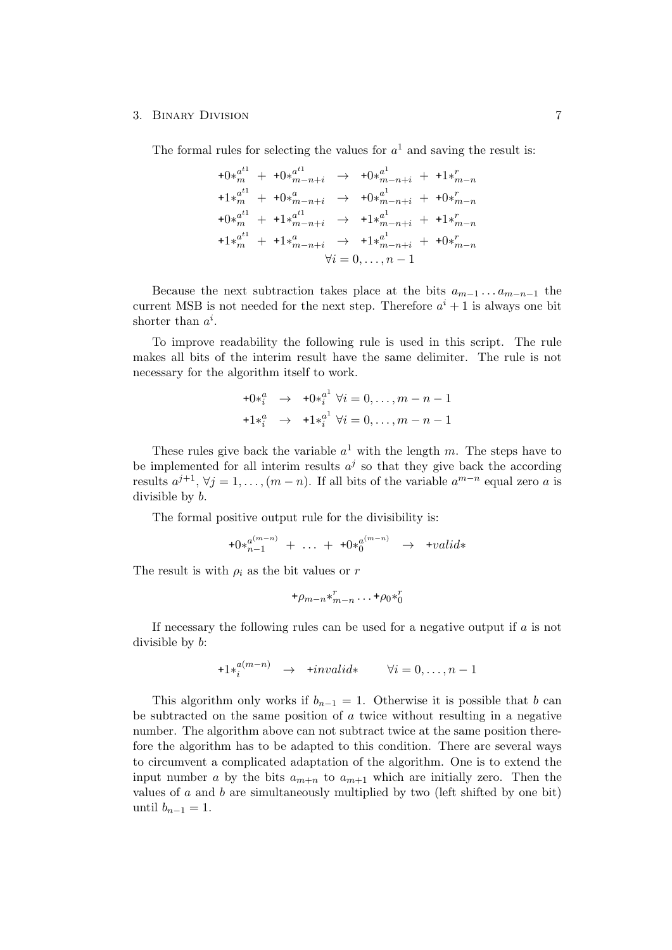#### 3. Binary Division 7

The formal rules for selecting the values for  $a<sup>1</sup>$  and saving the result is:

$$
+0 *_{m}^{a^{t1}} + 0 *_{m-n+i}^{a^{t1}} \rightarrow +0 *_{m-n+i}^{a^{1}} + 1 *_{m-n}^{r}
$$
  
\n
$$
+1 *_{m}^{a^{t1}} + 0 *_{m-n+i}^{a} \rightarrow +0 *_{m-n+i}^{a^{1}} + 0 *_{m-n}^{r}
$$
  
\n
$$
+0 *_{m}^{a^{t1}} + 1 *_{m-n+i}^{a^{t1}} \rightarrow +1 *_{m-n+i}^{a^{1}} + 1 *_{m-n}^{r}
$$
  
\n
$$
+1 *_{m}^{a^{t1}} + 1 *_{m-n+i}^{a} \rightarrow +1 *_{m-n+i}^{a^{1}} + 0 *_{m-n}^{r}
$$
  
\n
$$
\forall i = 0, ..., n-1
$$

Because the next subtraction takes place at the bits  $a_{m-1} \ldots a_{m-n-1}$  the current MSB is not needed for the next step. Therefore  $a^{i} + 1$  is always one bit shorter than  $a^i$ .

To improve readability the following rule is used in this script. The rule makes all bits of the interim result have the same delimiter. The rule is not necessary for the algorithm itself to work.

$$
+0*_{i}^{a} \rightarrow +0*_{i}^{a^{1}} \forall i = 0, ..., m-n-1
$$
  

$$
+1*_{i}^{a} \rightarrow +1*_{i}^{a^{1}} \forall i = 0, ..., m-n-1
$$

These rules give back the variable  $a^1$  with the length m. The steps have to be implemented for all interim results  $a^j$  so that they give back the according results  $a^{j+1}$ ,  $\forall j = 1, \ldots, (m-n)$ . If all bits of the variable  $a^{m-n}$  equal zero a is divisible by b.

The formal positive output rule for the divisibility is:

$$
+0*_{n-1}^{a^{(m-n)}} + \ldots + +0*_0^{a^{(m-n)}} \rightarrow +valid*
$$

The result is with  $\rho_i$  as the bit values or r

$$
\ast \rho_{m-n} \ast_{m-n}^r \dots \ast \rho_0 \ast_0^r
$$

If necessary the following rules can be used for a negative output if a is not divisible by b:

$$
+1 \ast_i^{a(m-n)} \quad \to \quad \mathbf{+} invalid* \qquad \forall i = 0, \dots, n-1
$$

This algorithm only works if  $b_{n-1} = 1$ . Otherwise it is possible that b can be subtracted on the same position of  $\alpha$  twice without resulting in a negative number. The algorithm above can not subtract twice at the same position therefore the algorithm has to be adapted to this condition. There are several ways to circumvent a complicated adaptation of the algorithm. One is to extend the input number a by the bits  $a_{m+n}$  to  $a_{m+1}$  which are initially zero. Then the values of a and b are simultaneously multiplied by two (left shifted by one bit) until  $b_{n-1} = 1$ .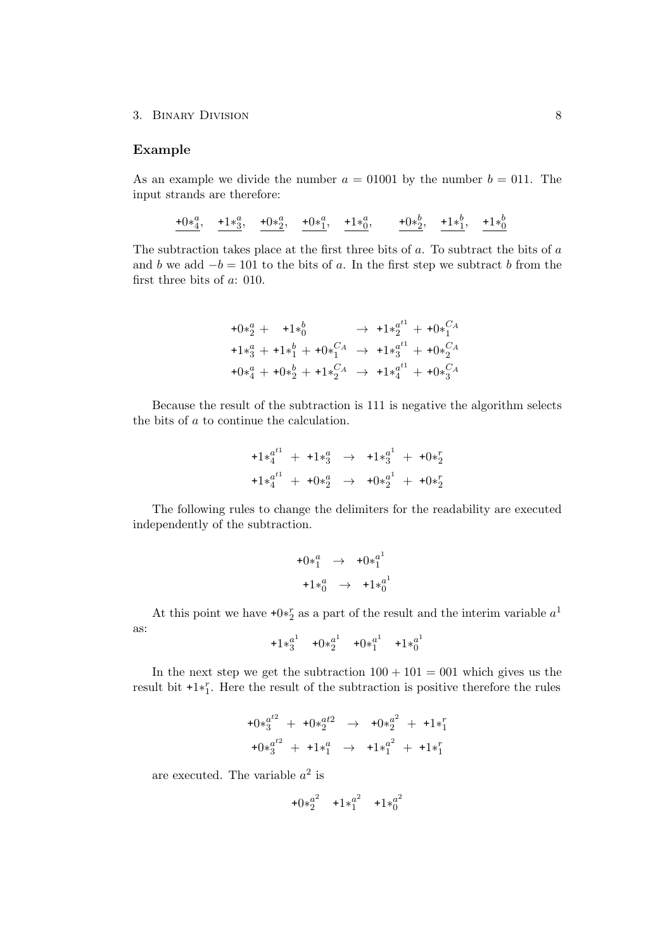#### Example

As an example we divide the number  $a = 01001$  by the number  $b = 011$ . The input strands are therefore:

 $+\frac{0*4}{4}, \quad +1*3$ ,  $+\frac{0*4}{2}, \quad +0*1$ ,  $+\frac{1*6}{0}, \quad +0*2$ ,  $+\frac{1*1}{2}, \quad +1*1$ 

The subtraction takes place at the first three bits of  $a$ . To subtract the bits of  $a$ and b we add  $-b = 101$  to the bits of a. In the first step we subtract b from the first three bits of a: 010.

$$
+0*_{2}^{a} + 1*_{0}^{b} \rightarrow 1*_{2}^{a^{t1}} + 0*_{1}^{C_{A}}
$$
  
\n
$$
+1*_{3}^{a} + 1*_{1}^{b} + 0*_{1}^{C_{A}} \rightarrow 1*_{3}^{a^{t1}} + 0*_{2}^{C_{A}}
$$
  
\n
$$
+0*_{4}^{a} + 0*_{2}^{b} + 1*_{2}^{C_{A}} \rightarrow 1*_{4}^{a^{t1}} + 0*_{3}^{C_{A}}
$$

Because the result of the subtraction is 111 is negative the algorithm selects the bits of a to continue the calculation.

$$
+1 *_{4}^{a^{t1}} + 1 *_{3}^{a} \rightarrow 1 *_{3}^{a^{1}} + 1 *_{2}^{a^{2}}
$$
  

$$
+1 *_{4}^{a^{t1}} + 1 *_{2}^{a} \rightarrow 1 *_{2}^{a^{1}} + 1 *_{2}^{a^{2}}
$$

The following rules to change the delimiters for the readability are executed independently of the subtraction.

$$
+0*_{1}^{a} \rightarrow +0*_{1}^{a^{1}}
$$

$$
+1*_{0}^{a} \rightarrow +1*_{0}^{a^{1}}
$$

At this point we have  $+0*^r_2$  as a part of the result and the interim variable  $a^1$ as:

$$
+1*3^a
$$
  $+0*2^a$   $+0*1^a$   $+1*0^a$ 

In the next step we get the subtraction  $100 + 101 = 001$  which gives us the result bit  $+1*^r_1$ . Here the result of the subtraction is positive therefore the rules

$$
+0*_{3}^{a^{t2}} + 0*_{2}^{a^{t2}} \rightarrow +0*_{2}^{a^{2}} + 1*_{1}^{r}
$$
  

$$
+0*_{3}^{a^{t2}} + 1*_{1}^{a} \rightarrow +1*_{1}^{a^{2}} + 1*_{1}^{r}
$$

are executed. The variable  $a^2$  is

$$
+0*_{2}^{a^{2}} \quad +1*_{1}^{a^{2}} \quad +1*_{0}^{a^{2}}
$$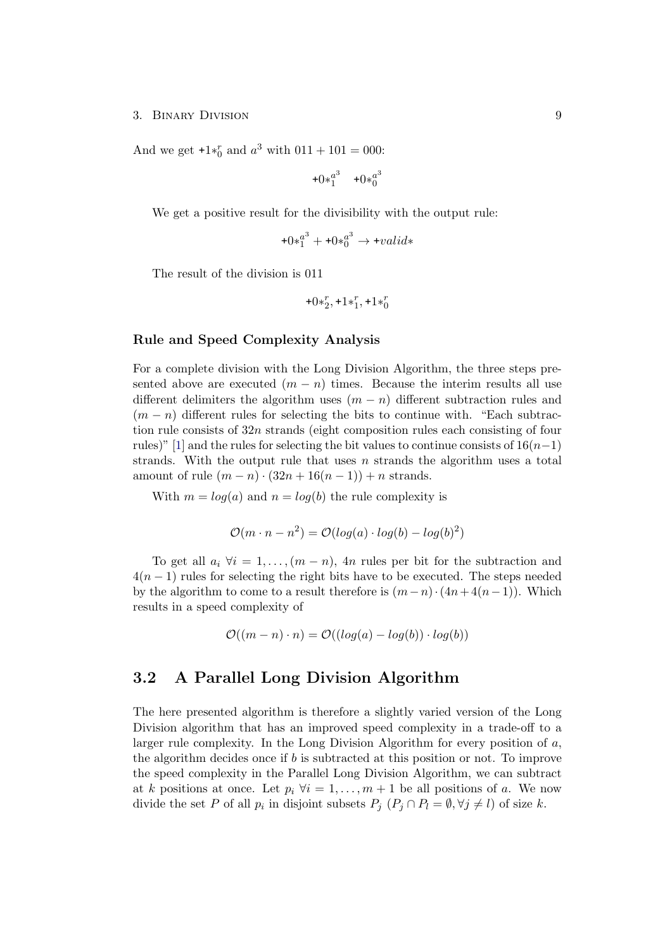And we get  $+1*_{0}^{r}$  and  $a^{3}$  with  $011 + 101 = 000$ :

$$
+0*_{1}^{a^{3}} +0*_{0}^{a^{3}}
$$

We get a positive result for the divisibility with the output rule:

$$
+0*_{1}^{a^{3}} + +0*_{0}^{a^{3}} \rightarrow +valid*
$$

The result of the division is 011

$$
\!+\!0\!\ast^r_2,\!+\!1\!\ast^r_1,\!+\!1\!\ast^r_0
$$

### Rule and Speed Complexity Analysis

For a complete division with the Long Division Algorithm, the three steps presented above are executed  $(m - n)$  times. Because the interim results all use different delimiters the algorithm uses  $(m - n)$  different subtraction rules and  $(m - n)$  different rules for selecting the bits to continue with. "Each subtraction rule consists of  $32n$  strands (eight composition rules each consisting of four rules)" [\[1\]](#page-30-0) and the rules for selecting the bit values to continue consists of  $16(n-1)$ strands. With the output rule that uses  $n$  strands the algorithm uses a total amount of rule  $(m - n) \cdot (32n + 16(n - 1)) + n$  strands.

With  $m = log(a)$  and  $n = log(b)$  the rule complexity is

$$
\mathcal{O}(m \cdot n - n^2) = \mathcal{O}(log(a) \cdot log(b) - log(b)^2)
$$

To get all  $a_i \forall i = 1, \ldots, (m - n)$ , 4n rules per bit for the subtraction and  $4(n-1)$  rules for selecting the right bits have to be executed. The steps needed by the algorithm to come to a result therefore is  $(m-n) \cdot (4n+4(n-1))$ . Which results in a speed complexity of

$$
\mathcal{O}((m-n)\cdot n) = \mathcal{O}((\log(a) - \log(b))\cdot \log(b))
$$

### <span id="page-11-0"></span>3.2 A Parallel Long Division Algorithm

The here presented algorithm is therefore a slightly varied version of the Long Division algorithm that has an improved speed complexity in a trade-off to a larger rule complexity. In the Long Division Algorithm for every position of  $a$ , the algorithm decides once if b is subtracted at this position or not. To improve the speed complexity in the Parallel Long Division Algorithm, we can subtract at k positions at once. Let  $p_i \forall i = 1, \ldots, m+1$  be all positions of a. We now divide the set P of all  $p_i$  in disjoint subsets  $P_j$   $(P_j \cap P_l = \emptyset, \forall j \neq l)$  of size k.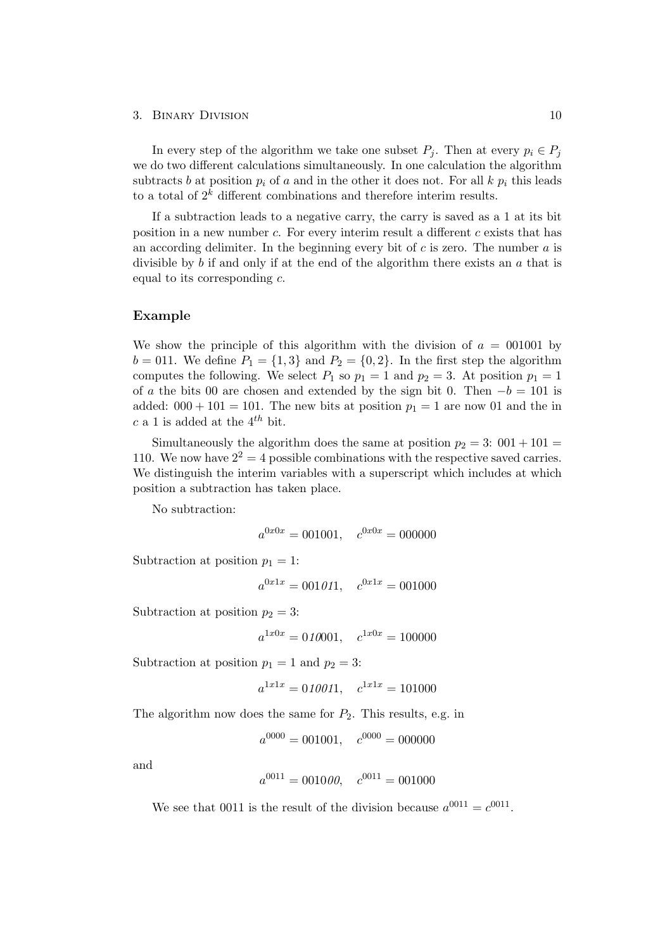In every step of the algorithm we take one subset  $P_i$ . Then at every  $p_i \in P_i$ we do two different calculations simultaneously. In one calculation the algorithm subtracts b at position  $p_i$  of a and in the other it does not. For all k  $p_i$  this leads to a total of  $2<sup>k</sup>$  different combinations and therefore interim results.

If a subtraction leads to a negative carry, the carry is saved as a 1 at its bit position in a new number c. For every interim result a different c exists that has an according delimiter. In the beginning every bit of  $c$  is zero. The number  $a$  is divisible by b if and only if at the end of the algorithm there exists an  $a$  that is equal to its corresponding  $c$ .

#### Example

We show the principle of this algorithm with the division of  $a = 001001$  by  $b = 011$ . We define  $P_1 = \{1, 3\}$  and  $P_2 = \{0, 2\}$ . In the first step the algorithm computes the following. We select  $P_1$  so  $p_1 = 1$  and  $p_2 = 3$ . At position  $p_1 = 1$ of a the bits 00 are chosen and extended by the sign bit 0. Then  $-b = 101$  is added:  $000 + 101 = 101$ . The new bits at position  $p_1 = 1$  are now 01 and the in c a 1 is added at the  $4^{th}$  bit.

Simultaneously the algorithm does the same at position  $p_2 = 3$ :  $001 + 101 =$ 110. We now have  $2^2 = 4$  possible combinations with the respective saved carries. We distinguish the interim variables with a superscript which includes at which position a subtraction has taken place.

No subtraction:

$$
a^{0x0x} = 001001, \quad c^{0x0x} = 000000
$$

Subtraction at position  $p_1 = 1$ :

$$
a^{0x1x} = 001011, \quad c^{0x1x} = 001000
$$

Subtraction at position  $p_2 = 3$ :

$$
a^{1x0x} = 010001, \quad c^{1x0x} = 100000
$$

Subtraction at position  $p_1 = 1$  and  $p_2 = 3$ :

$$
a^{1x1x} = 010011, \quad c^{1x1x} = 101000
$$

The algorithm now does the same for  $P_2$ . This results, e.g. in

$$
a^{0000} = 001001, \quad c^{0000} = 000000
$$

and

$$
a^{0011} = 001000, \quad c^{0011} = 001000
$$

We see that 0011 is the result of the division because  $a^{0011} = c^{0011}$ .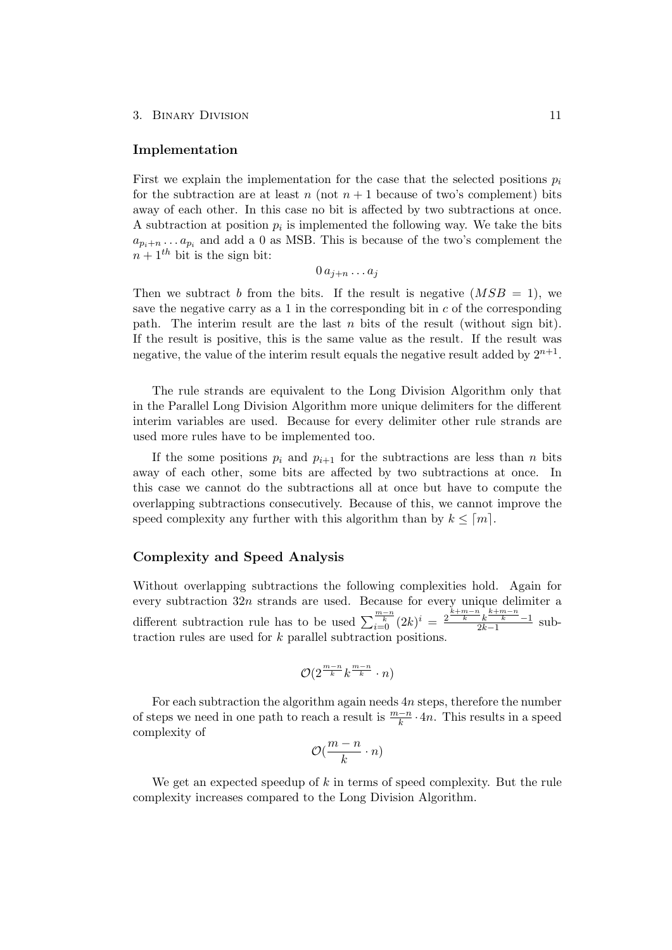#### Implementation

First we explain the implementation for the case that the selected positions  $p_i$ for the subtraction are at least n (not  $n + 1$  because of two's complement) bits away of each other. In this case no bit is affected by two subtractions at once. A subtraction at position  $p_i$  is implemented the following way. We take the bits  $a_{p_i+n} \dots a_{p_i}$  and add a 0 as MSB. This is because of the two's complement the  $n + 1$ <sup>th</sup> bit is the sign bit:

$$
0 \, a_{j+n} \ldots a_j
$$

Then we subtract b from the bits. If the result is negative  $(MSB = 1)$ , we save the negative carry as a 1 in the corresponding bit in  $c$  of the corresponding path. The interim result are the last  $n$  bits of the result (without sign bit). If the result is positive, this is the same value as the result. If the result was negative, the value of the interim result equals the negative result added by  $2^{n+1}$ .

The rule strands are equivalent to the Long Division Algorithm only that in the Parallel Long Division Algorithm more unique delimiters for the different interim variables are used. Because for every delimiter other rule strands are used more rules have to be implemented too.

If the some positions  $p_i$  and  $p_{i+1}$  for the subtractions are less than n bits away of each other, some bits are affected by two subtractions at once. In this case we cannot do the subtractions all at once but have to compute the overlapping subtractions consecutively. Because of this, we cannot improve the speed complexity any further with this algorithm than by  $k \leq [m]$ .

#### Complexity and Speed Analysis

Without overlapping subtractions the following complexities hold. Again for every subtraction 32n strands are used. Because for every unique delimiter a different subtraction rule has to be used  $\sum_{i=0}^{\frac{m-n}{k}} (2k)^i = \frac{\frac{k+m-n}{k} \cdot \frac{k+m-n}{k}}{2k-1}$  $\frac{k}{2k-1}$  subtraction rules are used for  $k$  parallel subtraction positions.

$$
\mathcal{O}(2^{\frac{m-n}{k}}k^{\frac{m-n}{k}}\cdot n)
$$

For each subtraction the algorithm again needs  $4n$  steps, therefore the number of steps we need in one path to reach a result is  $\frac{m-n}{k} \cdot 4n$ . This results in a speed complexity of

$$
\mathcal{O}(\frac{m-n}{k}\cdot n)
$$

We get an expected speedup of  $k$  in terms of speed complexity. But the rule complexity increases compared to the Long Division Algorithm.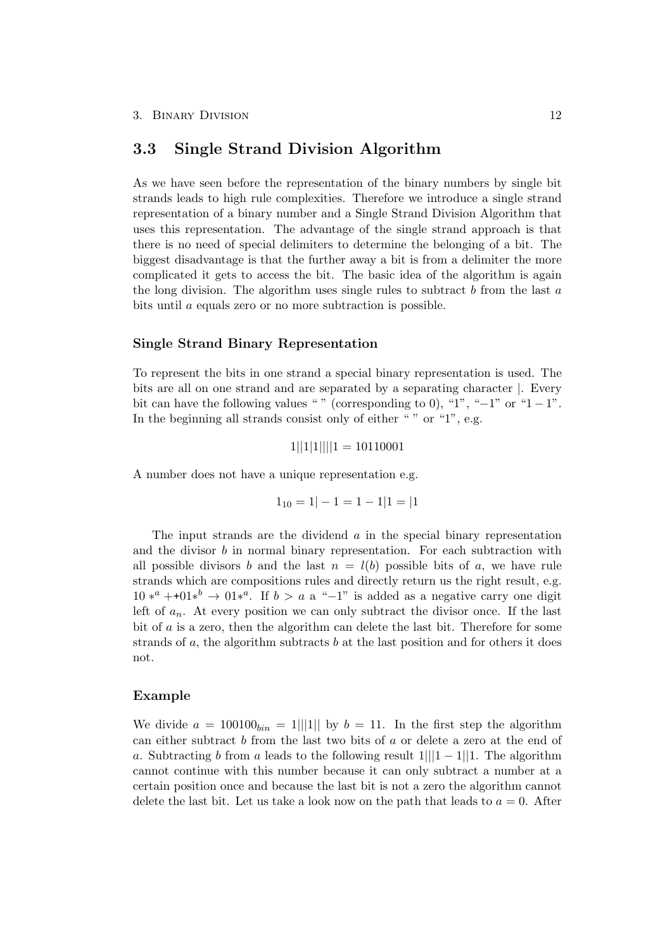### <span id="page-14-0"></span>3.3 Single Strand Division Algorithm

As we have seen before the representation of the binary numbers by single bit strands leads to high rule complexities. Therefore we introduce a single strand representation of a binary number and a Single Strand Division Algorithm that uses this representation. The advantage of the single strand approach is that there is no need of special delimiters to determine the belonging of a bit. The biggest disadvantage is that the further away a bit is from a delimiter the more complicated it gets to access the bit. The basic idea of the algorithm is again the long division. The algorithm uses single rules to subtract  $b$  from the last  $a$ bits until a equals zero or no more subtraction is possible.

#### Single Strand Binary Representation

To represent the bits in one strand a special binary representation is used. The bits are all on one strand and are separated by a separating character |. Every bit can have the following values " " (corresponding to 0), "1", " $-1$ " or "1  $-1$ ". In the beginning all strands consist only of either " " or "1", e.g.

 $1||1||1||1 = 10110001$ 

A number does not have a unique representation e.g.

$$
1_{10} = 1 |- 1 = 1 - 1|1 = |1
$$

The input strands are the dividend  $\alpha$  in the special binary representation and the divisor  $b$  in normal binary representation. For each subtraction with all possible divisors b and the last  $n = l(b)$  possible bits of a, we have rule strands which are compositions rules and directly return us the right result, e.g.  $10 *^a + 01 *^b \rightarrow 01 *^a$ . If  $b > a$  a "−1" is added as a negative carry one digit left of  $a_n$ . At every position we can only subtract the divisor once. If the last bit of a is a zero, then the algorithm can delete the last bit. Therefore for some strands of  $a$ , the algorithm subtracts  $b$  at the last position and for others it does not.

#### Example

We divide  $a = 100100_{bin} = 1||1||$  by  $b = 11$ . In the first step the algorithm can either subtract b from the last two bits of a or delete a zero at the end of a. Subtracting b from a leads to the following result  $1|||1-1||1$ . The algorithm cannot continue with this number because it can only subtract a number at a certain position once and because the last bit is not a zero the algorithm cannot delete the last bit. Let us take a look now on the path that leads to  $a = 0$ . After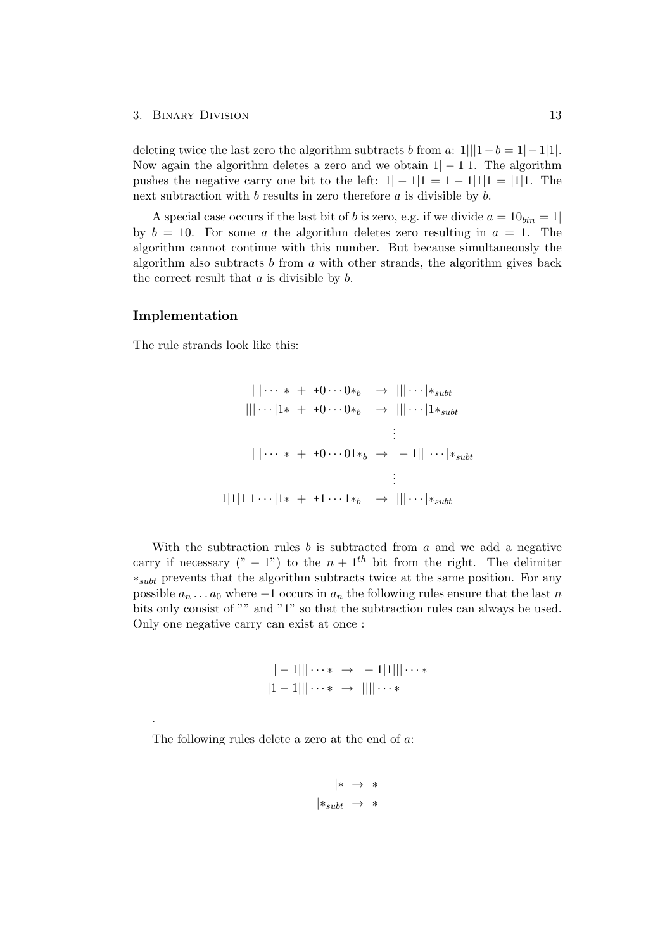deleting twice the last zero the algorithm subtracts b from a:  $1|||1-b=1|-1|1|$ . Now again the algorithm deletes a zero and we obtain  $1|-1|1$ . The algorithm pushes the negative carry one bit to the left:  $1|-1|1|=1-1|1|1=|1|1$ . The next subtraction with  $b$  results in zero therefore  $a$  is divisible by  $b$ .

A special case occurs if the last bit of b is zero, e.g. if we divide  $a = 10_{bin} = 1$ by  $b = 10$ . For some a the algorithm deletes zero resulting in  $a = 1$ . The algorithm cannot continue with this number. But because simultaneously the algorithm also subtracts  $b$  from  $a$  with other strands, the algorithm gives back the correct result that  $a$  is divisible by  $b$ .

#### Implementation

.

The rule strands look like this:

$$
|||\cdots|* + 0 \cdots 0 *_{b} \rightarrow |||\cdots| *_{subt}
$$
  
\n
$$
|||\cdots|1* + 0 \cdots 0 *_{b} \rightarrow |||\cdots|1 *_{subt}
$$
  
\n
$$
\vdots
$$
  
\n
$$
|||\cdots|* + 0 \cdots 01 *_{b} \rightarrow -1|||\cdots| *_{subt}
$$
  
\n
$$
\vdots
$$
  
\n
$$
1|1|1|\cdots|1* + 1 \cdots 1 *_{b} \rightarrow |||\cdots| *_{subt}
$$

With the subtraction rules  $b$  is subtracted from  $a$  and we add a negative carry if necessary  $(" - 1")$  to the  $n + 1<sup>th</sup>$  bit from the right. The delimiter ∗subt prevents that the algorithm subtracts twice at the same position. For any possible  $a_n \dots a_0$  where  $-1$  occurs in  $a_n$  the following rules ensure that the last n bits only consist of "" and "1" so that the subtraction rules can always be used. Only one negative carry can exist at once :

$$
|-1||| \cdots * \rightarrow -1|1||| \cdots * |1-1||| \cdots * \rightarrow |||| \cdots *
$$

The following rules delete a zero at the end of a:

$$
|* \rightarrow *|*subt \rightarrow *
$$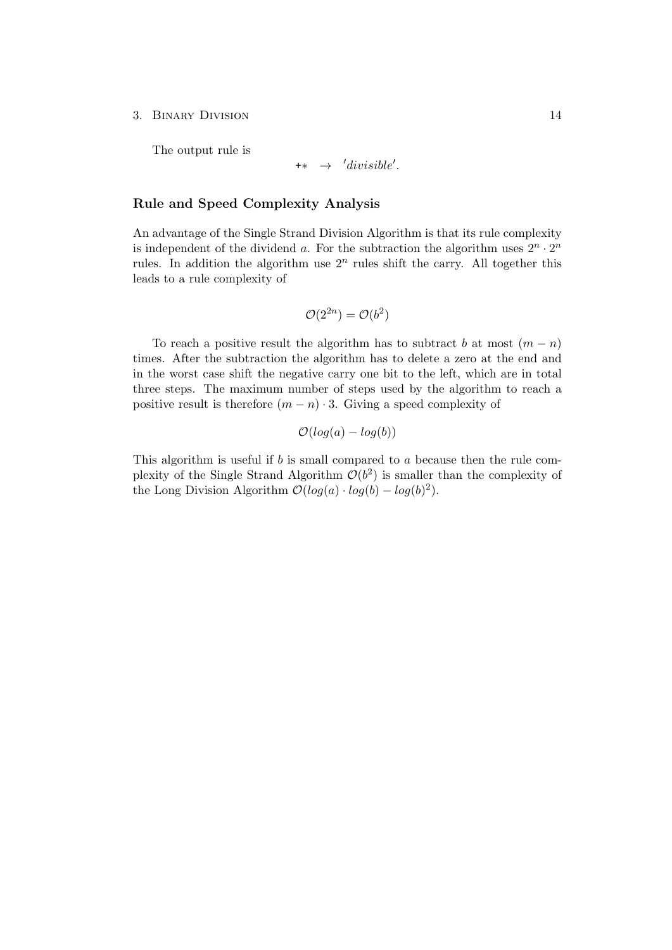The output rule is

$$
\text{++} \quad \rightarrow \quad 'divisible'.
$$

#### Rule and Speed Complexity Analysis

An advantage of the Single Strand Division Algorithm is that its rule complexity is independent of the dividend a. For the subtraction the algorithm uses  $2^n \cdot 2^n$ rules. In addition the algorithm use  $2<sup>n</sup>$  rules shift the carry. All together this leads to a rule complexity of

$$
\mathcal{O}(2^{2n}) = \mathcal{O}(b^2)
$$

To reach a positive result the algorithm has to subtract b at most  $(m - n)$ times. After the subtraction the algorithm has to delete a zero at the end and in the worst case shift the negative carry one bit to the left, which are in total three steps. The maximum number of steps used by the algorithm to reach a positive result is therefore  $(m - n) \cdot 3$ . Giving a speed complexity of

 $\mathcal{O}(log(a) - log(b))$ 

This algorithm is useful if b is small compared to a because then the rule complexity of the Single Strand Algorithm  $\mathcal{O}(b^2)$  is smaller than the complexity of the Long Division Algorithm  $\mathcal{O}(log(a) \cdot log(b) - log(b)^2)$ .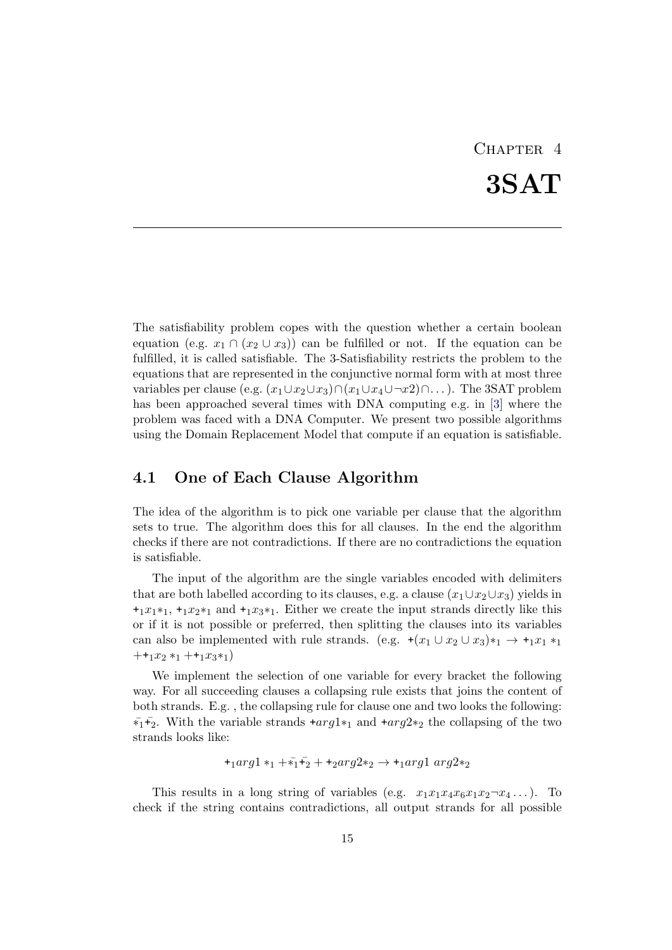# CHAPTER<sub>4</sub> 3SAT

<span id="page-17-0"></span>The satisfiability problem copes with the question whether a certain boolean equation (e.g.  $x_1 \cap (x_2 \cup x_3)$ ) can be fulfilled or not. If the equation can be fulfilled, it is called satisfiable. The 3-Satisfiability restricts the problem to the equations that are represented in the conjunctive normal form with at most three variables per clause (e.g.  $(x_1 \cup x_2 \cup x_3) \cap (x_1 \cup x_4 \cup \neg x_2) \cap \dots$ ). The 3SAT problem has been approached several times with DNA computing e.g. in [\[3\]](#page-30-3) where the problem was faced with a DNA Computer. We present two possible algorithms using the Domain Replacement Model that compute if an equation is satisfiable.

## <span id="page-17-1"></span>4.1 One of Each Clause Algorithm

The idea of the algorithm is to pick one variable per clause that the algorithm sets to true. The algorithm does this for all clauses. In the end the algorithm checks if there are not contradictions. If there are no contradictions the equation is satisfiable.

The input of the algorithm are the single variables encoded with delimiters that are both labelled according to its clauses, e.g. a clause  $(x_1 \cup x_2 \cup x_3)$  yields in  $+1x_1*1$ ,  $+1x_2*1$  and  $+1x_3*1$ . Either we create the input strands directly like this or if it is not possible or preferred, then splitting the clauses into its variables can also be implemented with rule strands. (e.g.  $+(x_1 \cup x_2 \cup x_3) *_{1} \rightarrow +_{1}x_1 *_{1}$  $++<sub>1</sub>x<sub>2</sub> *<sub>1</sub> ++<sub>1</sub>x<sub>3</sub> *<sub>1</sub>)$ 

We implement the selection of one variable for every bracket the following way. For all succeeding clauses a collapsing rule exists that joins the content of both strands. E.g. , the collapsing rule for clause one and two looks the following:  $\overline{\mathbf{v}}_1 + \overline{\mathbf{v}}_2$ . With the variable strands  $+arg1*_1$  and  $+arg2*_2$  the collapsing of the two strands looks like:

$$
+_{1}arg1*_1+\bar{i}_1+\bar{i}_2++_{2}arg2*_2 \rightarrow +_{1}arg1 \; arg2*_2
$$

This results in a long string of variables (e.g.  $x_1x_1x_4x_6x_1x_2-x_4...$ ). To check if the string contains contradictions, all output strands for all possible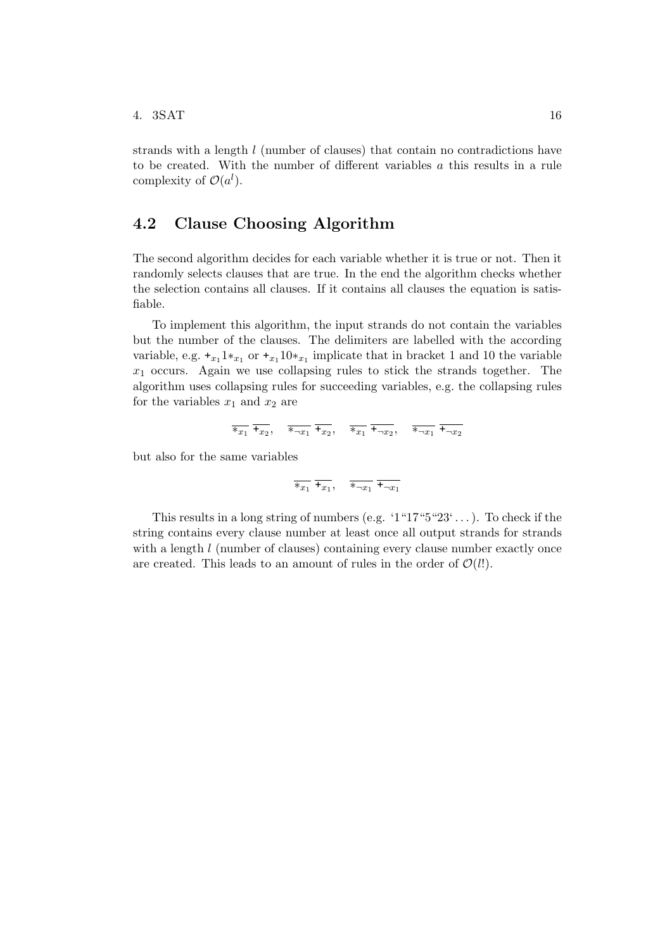strands with a length l (number of clauses) that contain no contradictions have to be created. With the number of different variables a this results in a rule complexity of  $\mathcal{O}(a^l)$ .

## <span id="page-18-0"></span>4.2 Clause Choosing Algorithm

The second algorithm decides for each variable whether it is true or not. Then it randomly selects clauses that are true. In the end the algorithm checks whether the selection contains all clauses. If it contains all clauses the equation is satisfiable.

To implement this algorithm, the input strands do not contain the variables but the number of the clauses. The delimiters are labelled with the according variable, e.g.  $\pm_{x_1} 1 \ast_{x_1}$  or  $\pm_{x_1} 10 \ast_{x_1}$  implicate that in bracket 1 and 10 the variable  $x_1$  occurs. Again we use collapsing rules to stick the strands together. The algorithm uses collapsing rules for succeeding variables, e.g. the collapsing rules for the variables  $x_1$  and  $x_2$  are

$$
\overline{\ast_{x_1}} \ \overline{\ast_{x_2}}, \quad \overline{\ast_{\neg x_1}} \ \overline{\ast_{x_2}}, \quad \overline{\ast_{x_1}} \ \overline{\ast_{\neg x_2}}, \quad \overline{\ast_{\neg x_1}} \ \overline{\ast_{\neg x_2}}
$$

but also for the same variables

$$
\overline{\ast_{x_1}} \ \overline{\ast_{x_1}}, \quad \overline{\ast_{\neg x_1}} \ \overline{\ast_{\neg x_1}}
$$

This results in a long string of numbers (e.g. ' $1$ "17" $5$ " $23$ "...). To check if the string contains every clause number at least once all output strands for strands with a length *l* (number of clauses) containing every clause number exactly once are created. This leads to an amount of rules in the order of  $\mathcal{O}(l!)$ .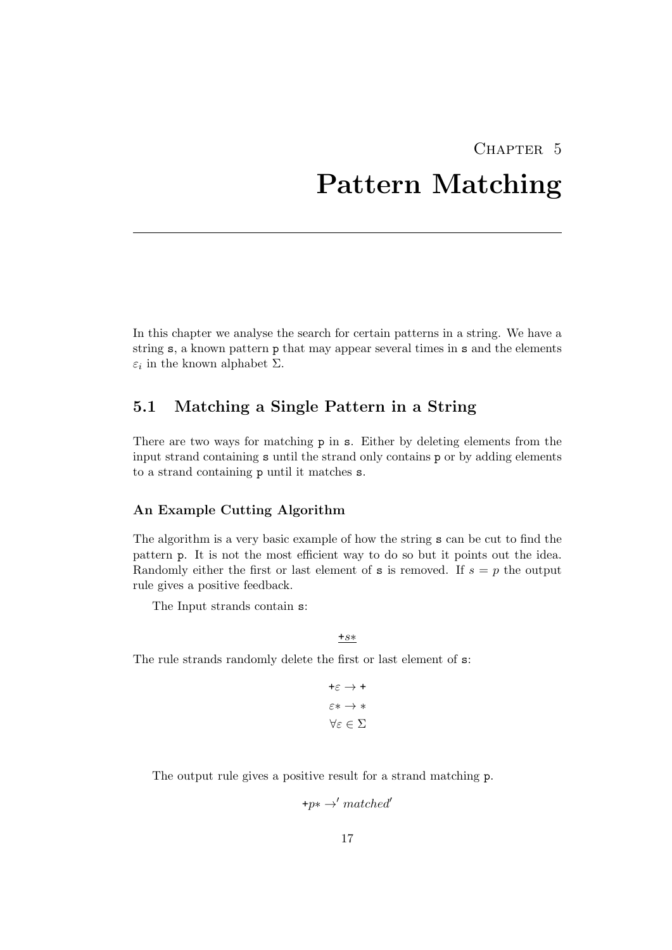# <span id="page-19-0"></span>CHAPTER<sub>5</sub> Pattern Matching

In this chapter we analyse the search for certain patterns in a string. We have a string s, a known pattern p that may appear several times in s and the elements  $\varepsilon_i$  in the known alphabet  $\Sigma$ .

## <span id="page-19-1"></span>5.1 Matching a Single Pattern in a String

There are two ways for matching p in s. Either by deleting elements from the input strand containing s until the strand only contains p or by adding elements to a strand containing p until it matches s.

#### An Example Cutting Algorithm

The algorithm is a very basic example of how the string s can be cut to find the pattern p. It is not the most efficient way to do so but it points out the idea. Randomly either the first or last element of s is removed. If  $s = p$  the output rule gives a positive feedback.

The Input strands contain s:

+s∗

The rule strands randomly delete the first or last element of s:

 $+ \varepsilon \rightarrow +$  $\varepsilon * \to *$ ∀ε ∈ Σ

The output rule gives a positive result for a strand matching p.

 $+p* \rightarrow' matched'$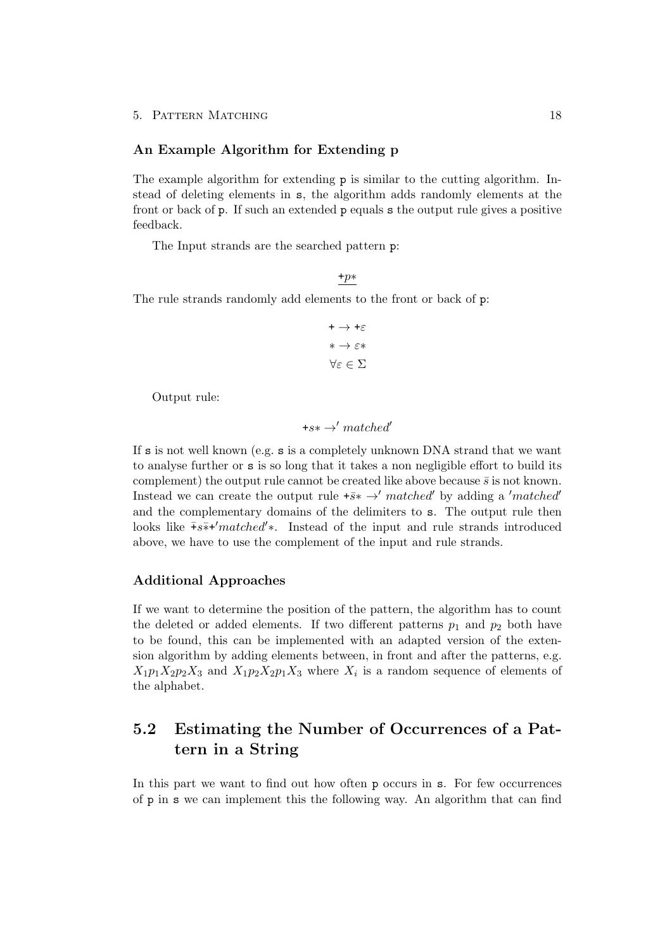#### An Example Algorithm for Extending p

The example algorithm for extending p is similar to the cutting algorithm. Instead of deleting elements in s, the algorithm adds randomly elements at the front or back of p. If such an extended p equals s the output rule gives a positive feedback.

The Input strands are the searched pattern p:

The rule strands randomly add elements to the front or back of p:

$$
\begin{aligned}\n &+ \rightarrow +\varepsilon \\
 &* \rightarrow \varepsilon \ast \\
 & \forall \varepsilon \in \Sigma\n \end{aligned}
$$

+p∗

Output rule:

$$
+ s* \rightarrow' matched'
$$

If  $s$  is not well known (e.g.  $s$  is a completely unknown DNA strand that we want to analyse further or s is so long that it takes a non negligible effort to build its complement) the output rule cannot be created like above because  $\bar{s}$  is not known. Instead we can create the output rule  $+\bar{s}* \rightarrow' matched'$  by adding a 'matched' and the complementary domains of the delimiters to s. The output rule then looks like  $\bar{+}s\bar{*}$ +'matched'\*. Instead of the input and rule strands introduced above, we have to use the complement of the input and rule strands.

#### Additional Approaches

If we want to determine the position of the pattern, the algorithm has to count the deleted or added elements. If two different patterns  $p_1$  and  $p_2$  both have to be found, this can be implemented with an adapted version of the extension algorithm by adding elements between, in front and after the patterns, e.g.  $X_1p_1X_2p_2X_3$  and  $X_1p_2X_2p_1X_3$  where  $X_i$  is a random sequence of elements of the alphabet.

## <span id="page-20-0"></span>5.2 Estimating the Number of Occurrences of a Pattern in a String

In this part we want to find out how often p occurs in s. For few occurrences of p in s we can implement this the following way. An algorithm that can find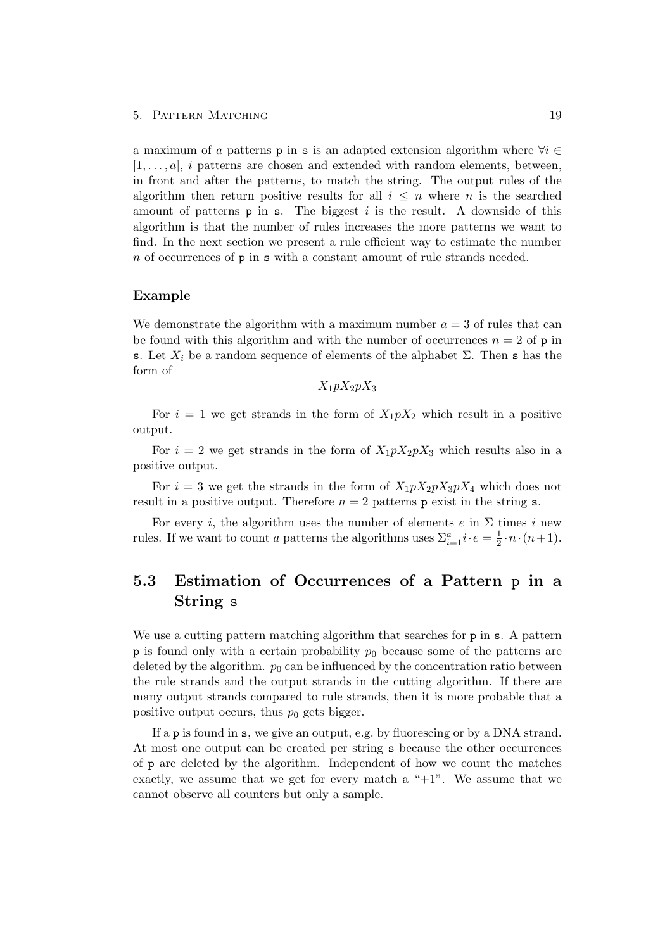#### 5. PATTERN MATCHING 19

a maximum of a patterns p in s is an adapted extension algorithm where  $\forall i \in$  $[1, \ldots, a]$ , i patterns are chosen and extended with random elements, between, in front and after the patterns, to match the string. The output rules of the algorithm then return positive results for all  $i \leq n$  where n is the searched amount of patterns  $p$  in s. The biggest i is the result. A downside of this algorithm is that the number of rules increases the more patterns we want to find. In the next section we present a rule efficient way to estimate the number  $n$  of occurrences of  $p$  in  $s$  with a constant amount of rule strands needed.

#### Example

We demonstrate the algorithm with a maximum number  $a = 3$  of rules that can be found with this algorithm and with the number of occurrences  $n = 2$  of p in s. Let  $X_i$  be a random sequence of elements of the alphabet  $\Sigma$ . Then s has the form of

 $X_1pX_2pX_3$ 

For  $i = 1$  we get strands in the form of  $X_1 p X_2$  which result in a positive output.

For  $i = 2$  we get strands in the form of  $X_1 p X_2 p X_3$  which results also in a positive output.

For  $i = 3$  we get the strands in the form of  $X_1 p X_2 p X_3 p X_4$  which does not result in a positive output. Therefore  $n = 2$  patterns p exist in the string s.

For every *i*, the algorithm uses the number of elements  $e$  in  $\Sigma$  times *i* new rules. If we want to count a patterns the algorithms uses  $\Sigma_{i=1}^a i \cdot e = \frac{1}{2}$  $\frac{1}{2} \cdot n \cdot (n+1)$ .

## <span id="page-21-0"></span>5.3 Estimation of Occurrences of a Pattern p in a String s

We use a cutting pattern matching algorithm that searches for  $p$  in s. A pattern p is found only with a certain probability  $p_0$  because some of the patterns are deleted by the algorithm.  $p_0$  can be influenced by the concentration ratio between the rule strands and the output strands in the cutting algorithm. If there are many output strands compared to rule strands, then it is more probable that a positive output occurs, thus  $p_0$  gets bigger.

If a p is found in s, we give an output, e.g. by fluorescing or by a DNA strand. At most one output can be created per string s because the other occurrences of p are deleted by the algorithm. Independent of how we count the matches exactly, we assume that we get for every match a " $+1$ ". We assume that we cannot observe all counters but only a sample.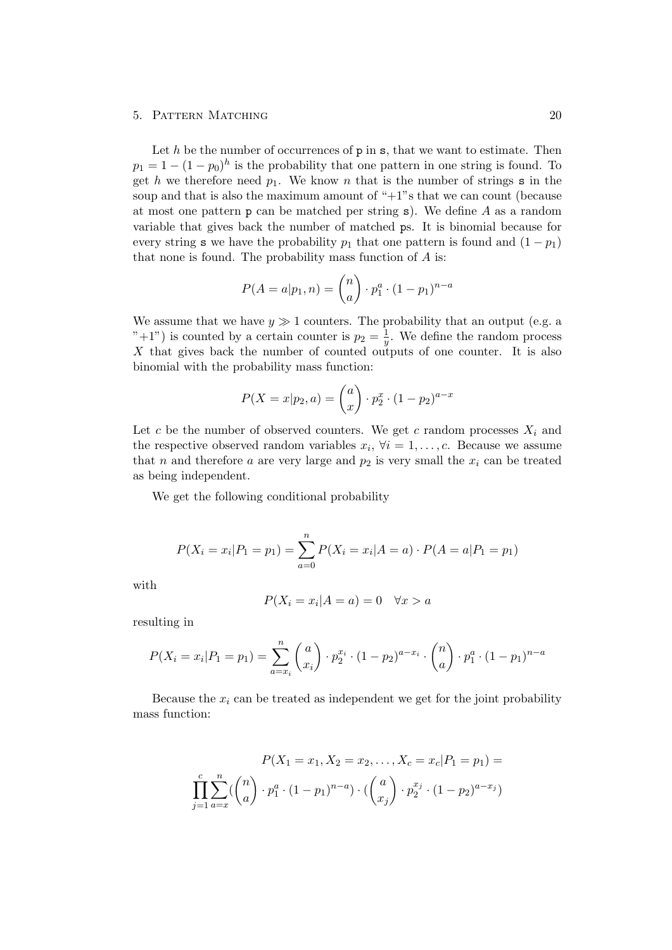#### 5. PATTERN MATCHING 20

Let  $h$  be the number of occurrences of  $p$  in  $s$ , that we want to estimate. Then  $p_1 = 1 - (1 - p_0)^h$  is the probability that one pattern in one string is found. To get h we therefore need  $p_1$ . We know n that is the number of strings s in the soup and that is also the maximum amount of " $+1$ "s that we can count (because at most one pattern  $p$  can be matched per string s). We define A as a random variable that gives back the number of matched ps. It is binomial because for every string s we have the probability  $p_1$  that one pattern is found and  $(1 - p_1)$ that none is found. The probability mass function of A is:

$$
P(A = a | p_1, n) = {n \choose a} \cdot p_1^a \cdot (1 - p_1)^{n - a}
$$

We assume that we have  $y \gg 1$  counters. The probability that an output (e.g. a "+1") is counted by a certain counter is  $p_2 = \frac{1}{n}$  $\frac{1}{y}$ . We define the random process X that gives back the number of counted outputs of one counter. It is also binomial with the probability mass function:

$$
P(X = x | p_2, a) = {a \choose x} \cdot p_2^x \cdot (1 - p_2)^{a - x}
$$

Let c be the number of observed counters. We get c random processes  $X_i$  and the respective observed random variables  $x_i, \forall i = 1, \ldots, c$ . Because we assume that n and therefore a are very large and  $p_2$  is very small the  $x_i$  can be treated as being independent.

We get the following conditional probability

$$
P(X_i = x_i | P_1 = p_1) = \sum_{a=0}^{n} P(X_i = x_i | A = a) \cdot P(A = a | P_1 = p_1)
$$

with

$$
P(X_i = x_i | A = a) = 0 \quad \forall x > a
$$

resulting in

$$
P(X_i = x_i | P_1 = p_1) = \sum_{a=x_i}^{n} {a \choose x_i} \cdot p_2^{x_i} \cdot (1-p_2)^{a-x_i} \cdot {n \choose a} \cdot p_1^{a} \cdot (1-p_1)^{n-a}
$$

Because the  $x_i$  can be treated as independent we get for the joint probability mass function:

$$
P(X_1 = x_1, X_2 = x_2, \dots, X_c = x_c | P_1 = p_1) =
$$
  

$$
\prod_{j=1}^c \sum_{a=x}^n \left( \binom{n}{a} \cdot p_1^a \cdot (1-p_1)^{n-a} \right) \cdot \left( \binom{a}{x_j} \cdot p_2^{x_j} \cdot (1-p_2)^{a-x_j} \right)
$$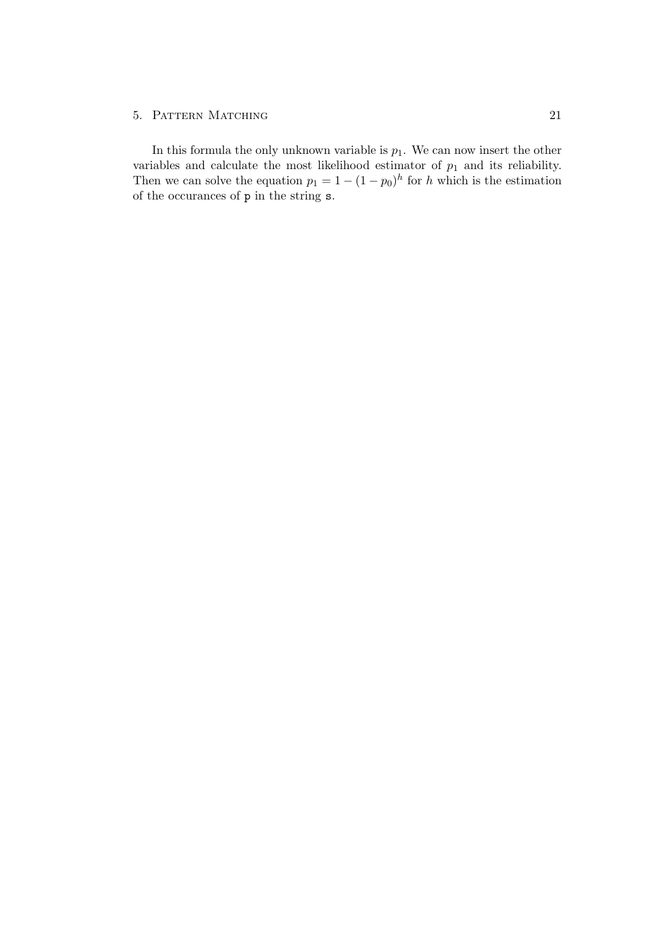#### 5. PATTERN MATCHING 21

In this formula the only unknown variable is  $p_1$ . We can now insert the other variables and calculate the most likelihood estimator of  $p_1$  and its reliability. Then we can solve the equation  $p_1 = 1 - (1 - p_0)^h$  for h which is the estimation of the occurances of p in the string s.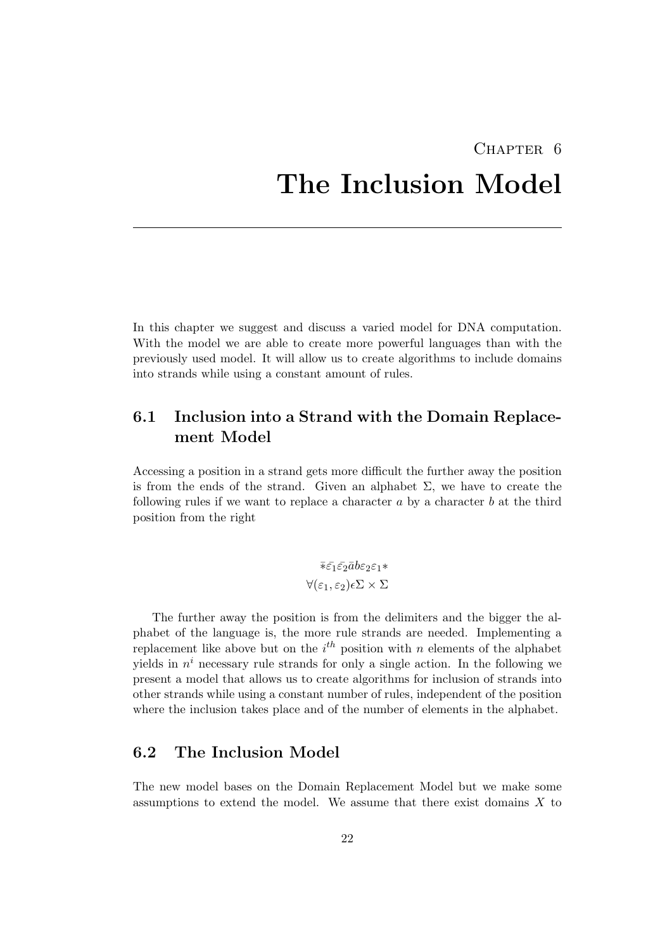# <span id="page-24-0"></span>CHAPTER<sub>6</sub> The Inclusion Model

In this chapter we suggest and discuss a varied model for DNA computation. With the model we are able to create more powerful languages than with the previously used model. It will allow us to create algorithms to include domains into strands while using a constant amount of rules.

## <span id="page-24-1"></span>6.1 Inclusion into a Strand with the Domain Replacement Model

Accessing a position in a strand gets more difficult the further away the position is from the ends of the strand. Given an alphabet  $\Sigma$ , we have to create the following rules if we want to replace a character  $a$  by a character  $b$  at the third position from the right

$$
\bar{\ast}\bar{\varepsilon_1}\bar{\varepsilon_2}\bar{a}b\varepsilon_2\varepsilon_1\ast
$$
  

$$
\forall(\varepsilon_1,\varepsilon_2)\epsilon\Sigma\times\Sigma
$$

The further away the position is from the delimiters and the bigger the alphabet of the language is, the more rule strands are needed. Implementing a replacement like above but on the  $i<sup>th</sup>$  position with n elements of the alphabet yields in  $n^i$  necessary rule strands for only a single action. In the following we present a model that allows us to create algorithms for inclusion of strands into other strands while using a constant number of rules, independent of the position where the inclusion takes place and of the number of elements in the alphabet.

## <span id="page-24-2"></span>6.2 The Inclusion Model

The new model bases on the Domain Replacement Model but we make some assumptions to extend the model. We assume that there exist domains  $X$  to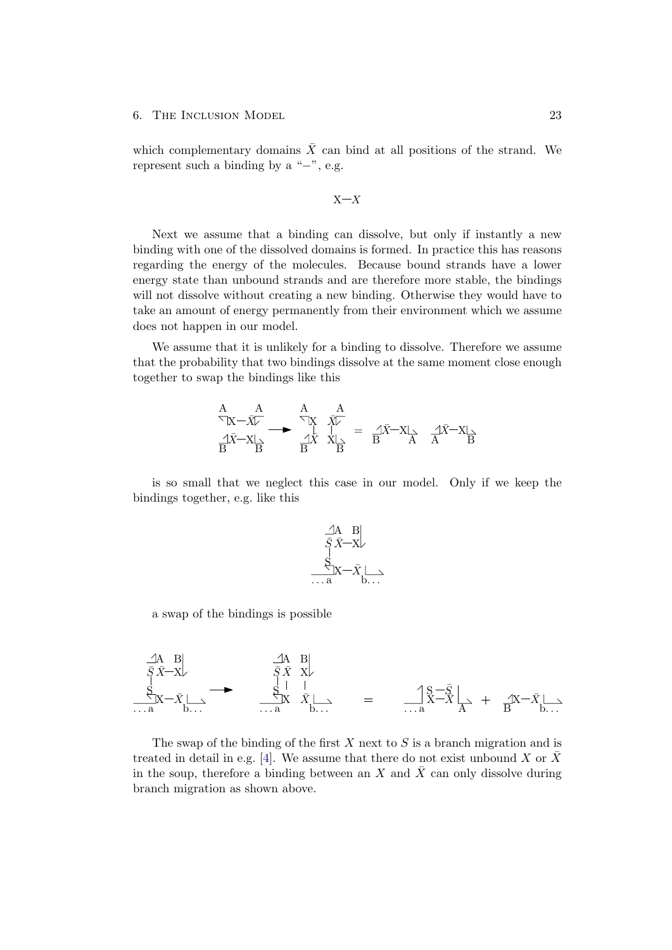which complementary domains  $\bar{X}$  can bind at all positions of the strand. We represent such a binding by a " $-$ ", e.g.

$$
\mathbf{X} \mathbf{-} \bar{X}
$$

Next we assume that a binding can dissolve, but only if instantly a new binding with one of the dissolved domains is formed. In practice this has reasons regarding the energy of the molecules. Because bound strands have a lower energy state than unbound strands and are therefore more stable, the bindings will not dissolve without creating a new binding. Otherwise they would have to take an amount of energy permanently from their environment which we assume does not happen in our model.

We assume that it is unlikely for a binding to dissolve. Therefore we assume that the probability that two bindings dissolve at the same moment close enough together to swap the bindings like this

$$
\begin{array}{ccc}\nA & A & A \\
\overleftarrow{X} - \overrightarrow{X} & \overleftarrow{X} & \overrightarrow{X} \\
\hline\nB & B & B & B\n\end{array}\n\begin{array}{ccc}\nA & A & A \\
\overleftarrow{X} & \overrightarrow{X} & \overleftarrow{X} \\
\hline\nC & \overleftarrow{X} & \overleftarrow{X} & \overleftarrow{X} \\
\hline\nC & \overleftarrow{X} & \overleftarrow{X} & \overleftarrow{X}\n\end{array}
$$

is so small that we neglect this case in our model. Only if we keep the bindings together, e.g. like this

$$
\begin{array}{c}\n\begin{array}{c}\n\sqrt{A} & B \\
\bar{S}\bar{X}-X\n\end{array} \\
\begin{array}{c}\nS \\
\vdots \\
\ldots a\n\end{array} & \begin{array}{c}\n\end{array} \\
\begin{array}{c}\n\ldots \\
\end{array} & \begin{array}{c}\n\ldots \\
\end{array}\n\end{array}
$$

a swap of the bindings is possible

$$
\begin{array}{ccc}\n\begin{array}{ccc}\nA & B \\
\bar{S} & \bar{X} - X\n\end{array} \\
S & \bar{S} & \bar{X} & X\n\end{array}
$$
\n
$$
\begin{array}{ccc}\n\begin{array}{ccc}\nA & B \\
\bar{S} & \bar{X} & X\n\end{array} \\
S & \bar{S} & \bar{X} & X\n\end{array}
$$
\n
$$
\begin{array}{ccc}\n\begin{array}{ccc}\nS - \bar{S} & \longrightarrow & \Lambda & \Lambda & \Lambda & \Lambda \\
S & \bar{X} & \bar{X} & \longrightarrow & \Lambda & \Lambda & \Lambda & \Lambda\n\end{array}\n\end{array}
$$

The swap of the binding of the first  $X$  next to  $S$  is a branch migration and is treated in detail in e.g. [\[4\]](#page-30-4). We assume that there do not exist unbound X or  $\bar{X}$ in the soup, therefore a binding between an X and  $\bar{X}$  can only dissolve during branch migration as shown above.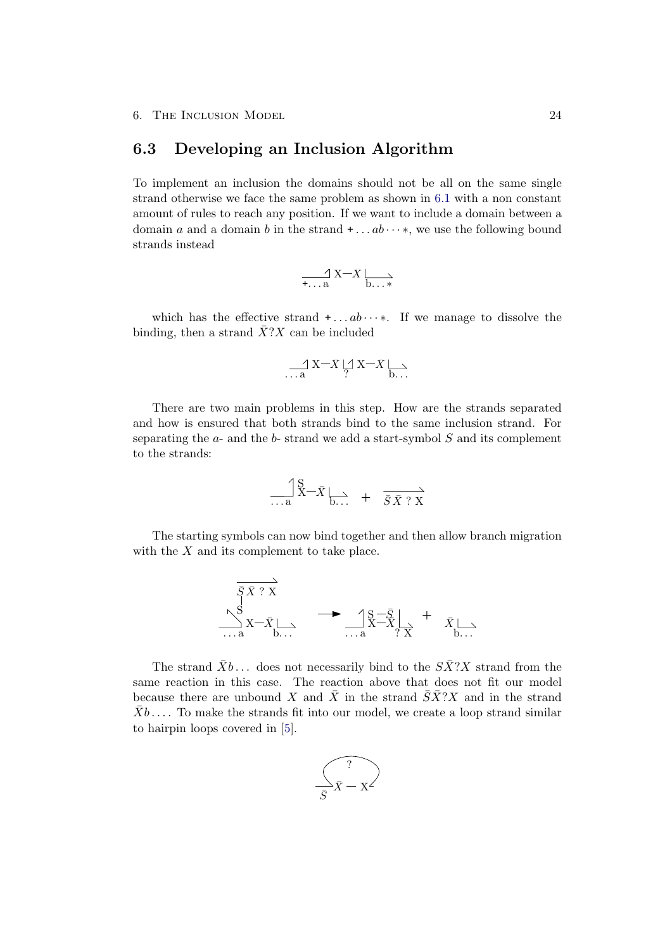### <span id="page-26-0"></span>6.3 Developing an Inclusion Algorithm

To implement an inclusion the domains should not be all on the same single strand otherwise we face the same problem as shown in [6.1](#page-24-1) with a non constant amount of rules to reach any position. If we want to include a domain between a domain a and a domain b in the strand  $+ \dots ab \dots *$ , we use the following bound strands instead

$$
\frac{\gamma}{\tau \cdot \cdot \cdot a} \times \frac{\gamma}{b \cdot \cdot \cdot \cdot}
$$

which has the effective strand  $+ \dots ab \dots *$ . If we manage to dissolve the binding, then a strand  $\overline{X}$ ?X can be included

$$
\mathop{\longrightarrow}\limits_{\cdots \; a} X-\bar{X} \mathop{\cup}\limits_{?} X-\bar{X} \mathop{\longmapsto}\limits_{b\ldots}
$$

There are two main problems in this step. How are the strands separated and how is ensured that both strands bind to the same inclusion strand. For separating the  $a$ - and the  $b$ - strand we add a start-symbol  $S$  and its complement to the strands:

$$
\frac{\text{S}}{\text{...a}} \overline{\mathbf{X}} - \overline{\mathbf{X}} \underset{\mathbf{b}...}{\longrightarrow} + \overline{\overline{\mathbf{S}} \overline{\mathbf{X}} ? \mathbf{X}}
$$

The starting symbols can now bind together and then allow branch migration with the  $X$  and its complement to take place.

$$
\overrightarrow{\bar{S} \bar{X}^T X}
$$
\n
$$
\sum_{\substack{S \\ \dots a}}^{S} \overrightarrow{X - \bar{X}} \longrightarrow \sum_{\substack{S \\ \dots a}}^{S - \bar{S}} \overrightarrow{X - \bar{X}} \longrightarrow \overrightarrow{X} \longrightarrow \overrightarrow{X} \longrightarrow
$$

The strand  $\bar{X}b$ ... does not necessarily bind to the  $S\bar{X}$ ?X strand from the same reaction in this case. The reaction above that does not fit our model because there are unbound X and  $\overline{X}$  in the strand  $\overline{S}\overline{X}$ <sup>2</sup>. The strand  $\bar{X}b$ .... To make the strands fit into our model, we create a loop strand similar to hairpin loops covered in [\[5\]](#page-30-5).

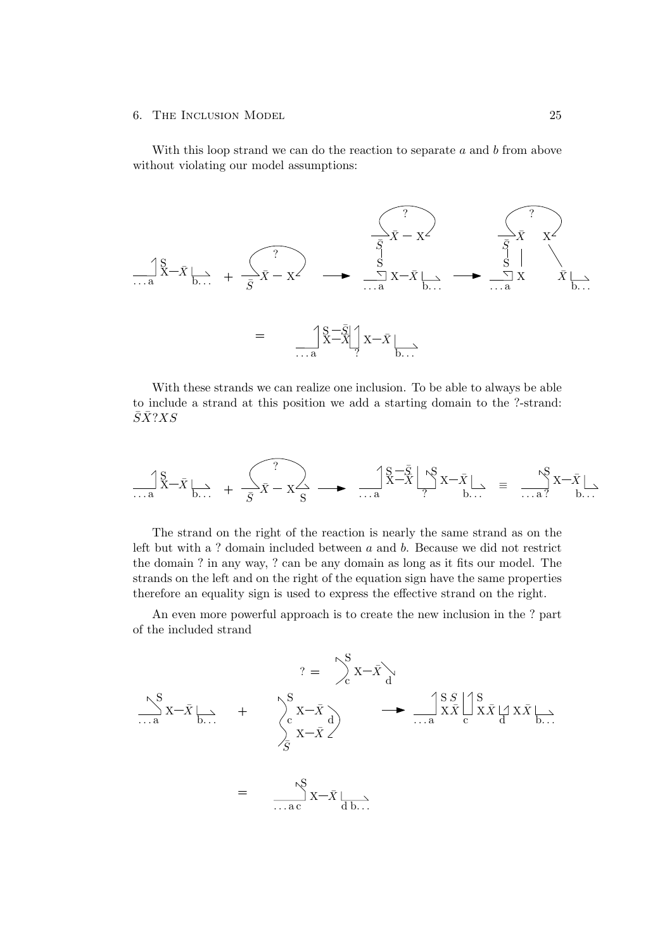With this loop strand we can do the reaction to separate  $a$  and  $b$  from above without violating our model assumptions:



With these strands we can realize one inclusion. To be able to always be able to include a strand at this position we add a starting domain to the ?-strand:  $\bar{S}\bar{X}$ ?XS

$$
\underset{\ldots a}{\overset{\textup{d}}{\prod}}\overset{S}{X}-\bar{X}\underset{b\ldots }{\underset{\ldots }{\sum}}\ +\ \underset{\bar{S}}{\overset{\textup{d}}{\sum}}\bar{X}-X\overset{\textup{d}}{\underset{\textup{S}}{\sum}}\ -\ \underset{\ldots a}{\longrightarrow}\ -\ \underset{\ldots a}{\overset{\textup{d}}{\prod}}\overset{S}{X}-\bar{X}\underset{b\ldots }{\overset{\textup{d}}{\sum}}X-\bar{X}\underset{b\ldots }{\overset{\textup{d}}{\sum}}\ =\ \underset{\ldots a}{\overset{\textup{d}}{\longrightarrow}}\ \underset{b\ldots }{\overset{\textup{d}}{\sum}}X-\bar{X}\underset{b\ldots }{\overset{\textup{d}}{\sum}}\ -\ \underset{b\ldots }{\overset{\textup{d}}{\sum}}X-\bar{X}\underset{b\ldots }{\overset{\textup{d}}{\sum}}\ -\ \underset{b\ldots }{\overset{\textup{d}}{\sum}}X-\bar{X}\underset{b\ldots }{\overset{\textup{d}}{\sum}}\ -\ \underset{b\ldots }{\overset{\textup{d}}{\sum}}X-\bar{X}\underset{b\ldots }{\overset{\textup{d}}{\sum}}X-\bar{X}\underset{b\ldots }{\overset{\textup{d}}{\sum}}\ -\ \underset{b\ldots }{\overset{\textup{d}}{\sum}}X-\bar{X}\underset{b\ldots }{\overset{\textup{d}}{\sum}}X-\bar{X}\underset{b\ldots }{\overset{\textup{d}}{\sum}}X-\bar{X}\underset{b\ldots }{\overset{\textup{d}}{\sum}}X-\bar{X}\underset{b\ldots }{\overset{\textup{d}}{\sum}}X-\bar{X}\underset{b\ldots }{\overset{\textup{d}}{\sum}}X-\bar{X}\underset{b\ldots }{\overset{\textup{d}}{\sum}}X-\bar{X}\underset{b\ldots }{\overset{\textup{d}}{\sum}}X-\bar{X}\underset{b\ldots }{\overset{\textup{d}}{\sum}}X-\bar{X}\underset{b\ldots }{\overset{\textup{d}}{\sum}}X-\bar{X}\underset{b\ldots }{\overset{\textup{d}}{\sum}}X-\bar{X}\underset{b\ldots }{\overset{\textup{d}}{\sum}}X-\bar{X}\unders
$$

The strand on the right of the reaction is nearly the same strand as on the left but with a ? domain included between a and b. Because we did not restrict the domain ? in any way, ? can be any domain as long as it fits our model. The strands on the left and on the right of the equation sign have the same properties therefore an equality sign is used to express the effective strand on the right.

An even more powerful approach is to create the new inclusion in the ? part of the included strand

$$
? = \int_{c}^{S} x - \bar{x} \Big|_{d}
$$
  
\n
$$
\frac{\left| \sum_{\substack{n=1 \ n \text{ odd}}}^{S} x - \bar{x} \right|}{\frac{1}{S} \sum_{\substack{n=1 \ n \text{ odd}}}^{S} x - \bar{x} \Big|_{d}}
$$
  
\n
$$
= \frac{\left| \sum_{\substack{n=1 \ n \text{ odd}}}^{S} x - \bar{x} \right|}{\frac{1}{S} \sum_{\substack{n=1 \ n \text{ odd}}}^{S} x} \Big|_{d}^{S} \left| \sum_{\substack{n=1 \ n \text{ odd}}}^{S} x \bar{x} \Big|_{d}^{S} x \bar{x} \Big|_{d}^{S} x \bar{x} \Big|_{d}
$$
  
\n
$$
= \frac{\left| \sum_{\substack{n=1 \ n \text{ odd}}}^{S} x - \bar{x} \Big|_{d}}{\frac{1}{S} \sum_{\substack{n=1 \ n \text{ odd}}}^{S} x} \Big|_{d}^{S} x \bar{x} \Big|_{d}^{S} x \bar{x} \Big|_{d}^{S}
$$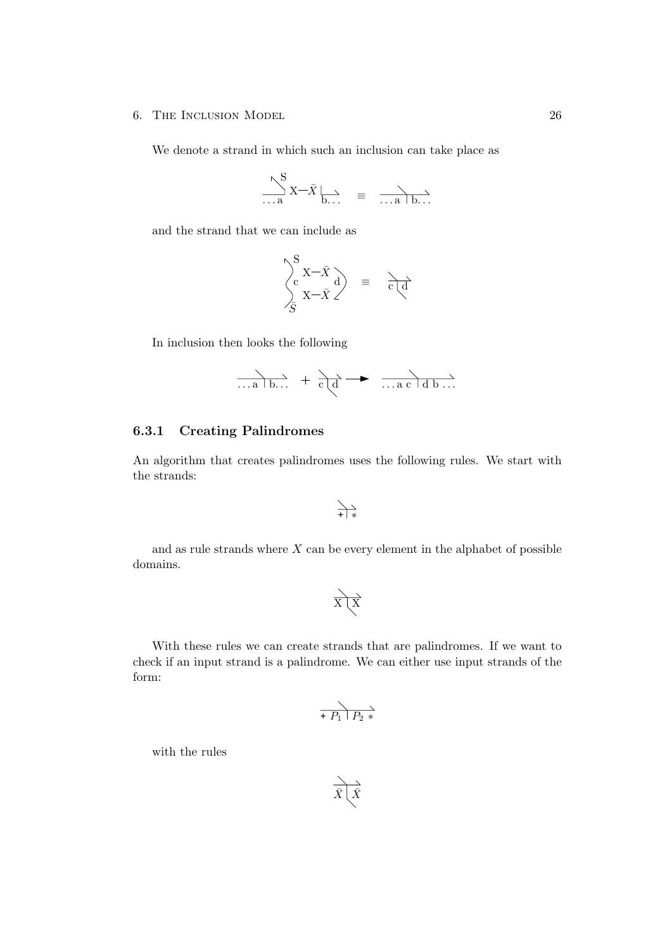We denote a strand in which such an inclusion can take place as

$$
\sum_{\ldots a}^{S} X - \bar{X} \Big|_{b \ldots} \equiv \frac{\ }{\ldots a \, b \ldots}
$$

and the strand that we can include as

$$
\begin{pmatrix}\nS \\
c \\
S\n\end{pmatrix} \begin{matrix}\nX-\overline{X} \\
X-\overline{X}\n\end{matrix} = \overrightarrow{c \mid d}
$$

In inclusion then looks the following

$$
\overrightarrow{\ldots a \mid b \ldots} + \overrightarrow{c \mid d} \longrightarrow \overrightarrow{\ldots a \mid d \mid b \ldots}
$$

### <span id="page-28-0"></span>6.3.1 Creating Palindromes

An algorithm that creates palindromes uses the following rules. We start with the strands:

$$
\overbrace{+}\bigg|*
$$

and as rule strands where  $X$  can be every element in the alphabet of possible domains.

$$
\overrightarrow{X}\overrightarrow{X}
$$

With these rules we can create strands that are palindromes. If we want to check if an input strand is a palindrome. We can either use input strands of the form:

$$
\overrightarrow{+ P_1 \mid P_2 *}
$$

with the rules

$$
\overrightarrow{\bar{X}\bigl(\bar{X}}
$$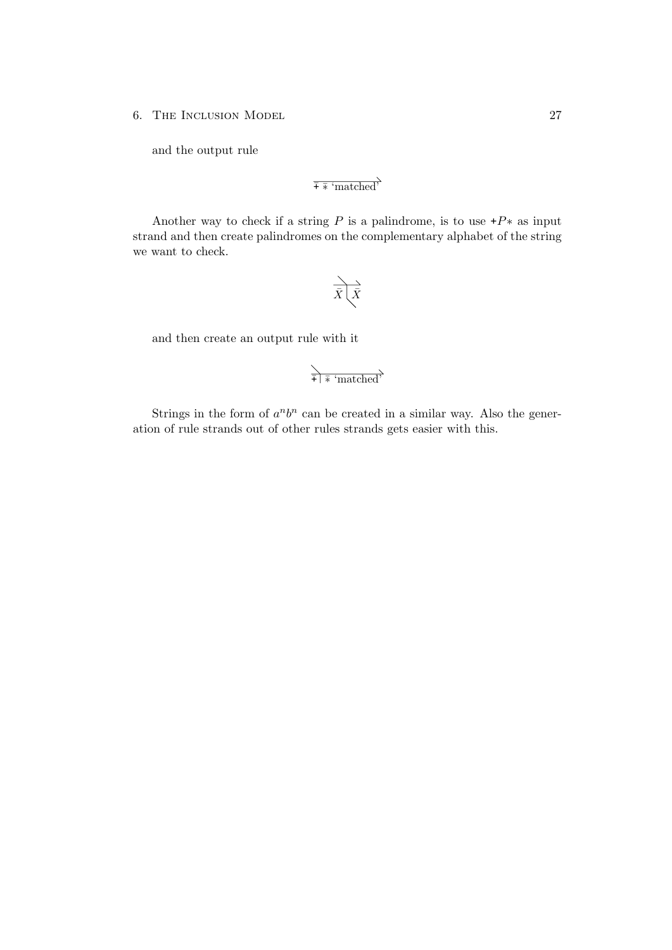and the output rule

$$
\overline{+}\overline{*}\ ^{\mathsf{`matched'}}
$$

Another way to check if a string P is a palindrome, is to use  $+P^*$  as input strand and then create palindromes on the complementary alphabet of the string we want to check.

$$
\overrightarrow{\bar{X}\bigg(\bar{X}}
$$

and then create an output rule with it

$$
\overrightarrow{\frac{1}{\overrightarrow{+}}\overrightarrow{+}\text{ 'matched}}\text{'}
$$

Strings in the form of  $a^n b^n$  can be created in a similar way. Also the generation of rule strands out of other rules strands gets easier with this.